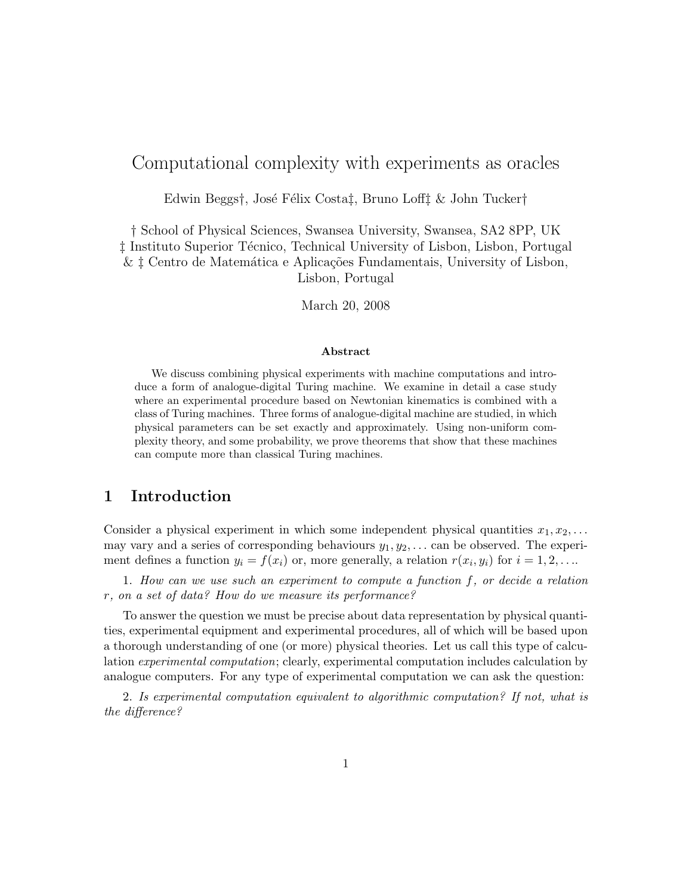# Computational complexity with experiments as oracles

Edwin Beggs†, José Félix Costa‡, Bruno Loff‡ & John Tucker†

† School of Physical Sciences, Swansea University, Swansea, SA2 8PP, UK  $\ddagger$  Instituto Superior Técnico, Technical University of Lisbon, Lisbon, Portugal & ‡ Centro de Matemática e Aplicações Fundamentais, University of Lisbon, Lisbon, Portugal

March 20, 2008

#### Abstract

We discuss combining physical experiments with machine computations and introduce a form of analogue-digital Turing machine. We examine in detail a case study where an experimental procedure based on Newtonian kinematics is combined with a class of Turing machines. Three forms of analogue-digital machine are studied, in which physical parameters can be set exactly and approximately. Using non-uniform complexity theory, and some probability, we prove theorems that show that these machines can compute more than classical Turing machines.

# 1 Introduction

Consider a physical experiment in which some independent physical quantities  $x_1, x_2, \ldots$ may vary and a series of corresponding behaviours  $y_1, y_2, \ldots$  can be observed. The experiment defines a function  $y_i = f(x_i)$  or, more generally, a relation  $r(x_i, y_i)$  for  $i = 1, 2, \ldots$ 

1. How can we use such an experiment to compute a function f, or decide a relation r, on a set of data? How do we measure its performance?

To answer the question we must be precise about data representation by physical quantities, experimental equipment and experimental procedures, all of which will be based upon a thorough understanding of one (or more) physical theories. Let us call this type of calculation experimental computation; clearly, experimental computation includes calculation by analogue computers. For any type of experimental computation we can ask the question:

2. Is experimental computation equivalent to algorithmic computation? If not, what is the difference?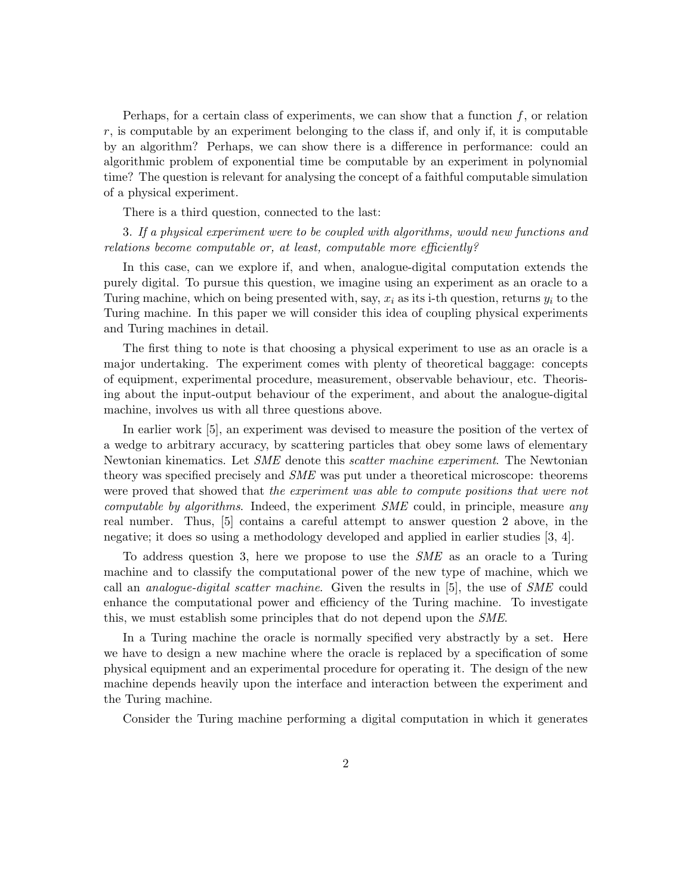Perhaps, for a certain class of experiments, we can show that a function  $f$ , or relation  $r$ , is computable by an experiment belonging to the class if, and only if, it is computable by an algorithm? Perhaps, we can show there is a difference in performance: could an algorithmic problem of exponential time be computable by an experiment in polynomial time? The question is relevant for analysing the concept of a faithful computable simulation of a physical experiment.

There is a third question, connected to the last:

3. If a physical experiment were to be coupled with algorithms, would new functions and relations become computable or, at least, computable more efficiently?

In this case, can we explore if, and when, analogue-digital computation extends the purely digital. To pursue this question, we imagine using an experiment as an oracle to a Turing machine, which on being presented with, say,  $x_i$  as its i-th question, returns  $y_i$  to the Turing machine. In this paper we will consider this idea of coupling physical experiments and Turing machines in detail.

The first thing to note is that choosing a physical experiment to use as an oracle is a major undertaking. The experiment comes with plenty of theoretical baggage: concepts of equipment, experimental procedure, measurement, observable behaviour, etc. Theorising about the input-output behaviour of the experiment, and about the analogue-digital machine, involves us with all three questions above.

In earlier work [5], an experiment was devised to measure the position of the vertex of a wedge to arbitrary accuracy, by scattering particles that obey some laws of elementary Newtonian kinematics. Let SME denote this scatter machine experiment. The Newtonian theory was specified precisely and SME was put under a theoretical microscope: theorems were proved that showed that the experiment was able to compute positions that were not computable by algorithms. Indeed, the experiment SME could, in principle, measure any real number. Thus, [5] contains a careful attempt to answer question 2 above, in the negative; it does so using a methodology developed and applied in earlier studies [3, 4].

To address question 3, here we propose to use the SME as an oracle to a Turing machine and to classify the computational power of the new type of machine, which we call an analogue-digital scatter machine. Given the results in [5], the use of SME could enhance the computational power and efficiency of the Turing machine. To investigate this, we must establish some principles that do not depend upon the SME.

In a Turing machine the oracle is normally specified very abstractly by a set. Here we have to design a new machine where the oracle is replaced by a specification of some physical equipment and an experimental procedure for operating it. The design of the new machine depends heavily upon the interface and interaction between the experiment and the Turing machine.

Consider the Turing machine performing a digital computation in which it generates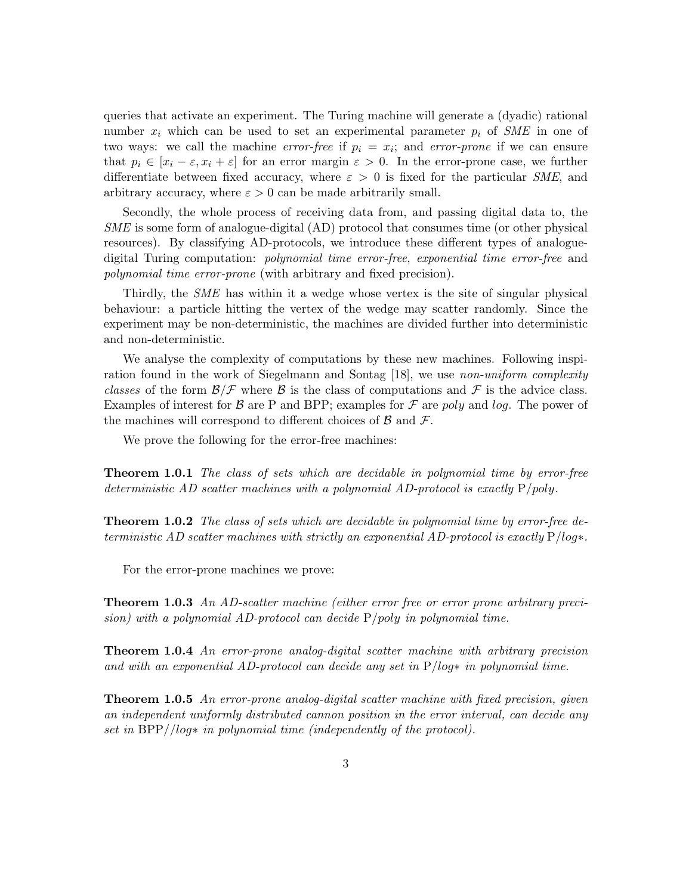queries that activate an experiment. The Turing machine will generate a (dyadic) rational number  $x_i$  which can be used to set an experimental parameter  $p_i$  of SME in one of two ways: we call the machine *error-free* if  $p_i = x_i$ ; and *error-prone* if we can ensure that  $p_i \in [x_i - \varepsilon, x_i + \varepsilon]$  for an error margin  $\varepsilon > 0$ . In the error-prone case, we further differentiate between fixed accuracy, where  $\varepsilon > 0$  is fixed for the particular SME, and arbitrary accuracy, where  $\varepsilon > 0$  can be made arbitrarily small.

Secondly, the whole process of receiving data from, and passing digital data to, the SME is some form of analogue-digital (AD) protocol that consumes time (or other physical resources). By classifying AD-protocols, we introduce these different types of analoguedigital Turing computation: polynomial time error-free, exponential time error-free and polynomial time error-prone (with arbitrary and fixed precision).

Thirdly, the SME has within it a wedge whose vertex is the site of singular physical behaviour: a particle hitting the vertex of the wedge may scatter randomly. Since the experiment may be non-deterministic, the machines are divided further into deterministic and non-deterministic.

We analyse the complexity of computations by these new machines. Following inspiration found in the work of Siegelmann and Sontag [18], we use non-uniform complexity classes of the form  $\mathcal{B}/\mathcal{F}$  where  $\mathcal B$  is the class of computations and  $\mathcal F$  is the advice class. Examples of interest for  $\mathcal{B}$  are P and BPP; examples for  $\mathcal F$  are poly and log. The power of the machines will correspond to different choices of  $\beta$  and  $\mathcal{F}$ .

We prove the following for the error-free machines:

Theorem 1.0.1 The class of sets which are decidable in polynomial time by error-free deterministic AD scatter machines with a polynomial AD-protocol is exactly P/poly.

**Theorem 1.0.2** The class of sets which are decidable in polynomial time by error-free deterministic AD scatter machines with strictly an exponential AD-protocol is exactly  $P/log*$ .

For the error-prone machines we prove:

**Theorem 1.0.3** An AD-scatter machine (either error free or error prone arbitrary precision) with a polynomial AD-protocol can decide  $P/poly$  in polynomial time.

Theorem 1.0.4 An error-prone analog-digital scatter machine with arbitrary precision and with an exponential AD-protocol can decide any set in  $P/log*$  in polynomial time.

**Theorem 1.0.5** An error-prone analog-digital scatter machine with fixed precision, given an independent uniformly distributed cannon position in the error interval, can decide any set in BPP//log∗ in polynomial time (independently of the protocol).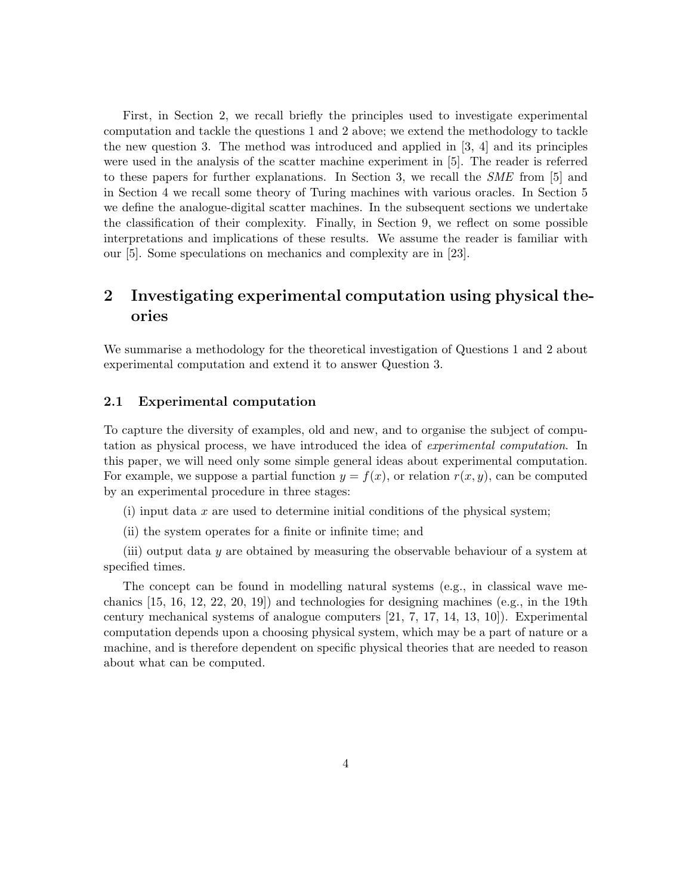First, in Section 2, we recall briefly the principles used to investigate experimental computation and tackle the questions 1 and 2 above; we extend the methodology to tackle the new question 3. The method was introduced and applied in [3, 4] and its principles were used in the analysis of the scatter machine experiment in [5]. The reader is referred to these papers for further explanations. In Section 3, we recall the SME from [5] and in Section 4 we recall some theory of Turing machines with various oracles. In Section 5 we define the analogue-digital scatter machines. In the subsequent sections we undertake the classification of their complexity. Finally, in Section 9, we reflect on some possible interpretations and implications of these results. We assume the reader is familiar with our [5]. Some speculations on mechanics and complexity are in [23].

# 2 Investigating experimental computation using physical theories

We summarise a methodology for the theoretical investigation of Questions 1 and 2 about experimental computation and extend it to answer Question 3.

### 2.1 Experimental computation

To capture the diversity of examples, old and new, and to organise the subject of computation as physical process, we have introduced the idea of experimental computation. In this paper, we will need only some simple general ideas about experimental computation. For example, we suppose a partial function  $y = f(x)$ , or relation  $r(x, y)$ , can be computed by an experimental procedure in three stages:

(i) input data  $x$  are used to determine initial conditions of the physical system;

(ii) the system operates for a finite or infinite time; and

(iii) output data  $y$  are obtained by measuring the observable behaviour of a system at specified times.

The concept can be found in modelling natural systems (e.g., in classical wave mechanics [15, 16, 12, 22, 20, 19]) and technologies for designing machines (e.g., in the 19th century mechanical systems of analogue computers [21, 7, 17, 14, 13, 10]). Experimental computation depends upon a choosing physical system, which may be a part of nature or a machine, and is therefore dependent on specific physical theories that are needed to reason about what can be computed.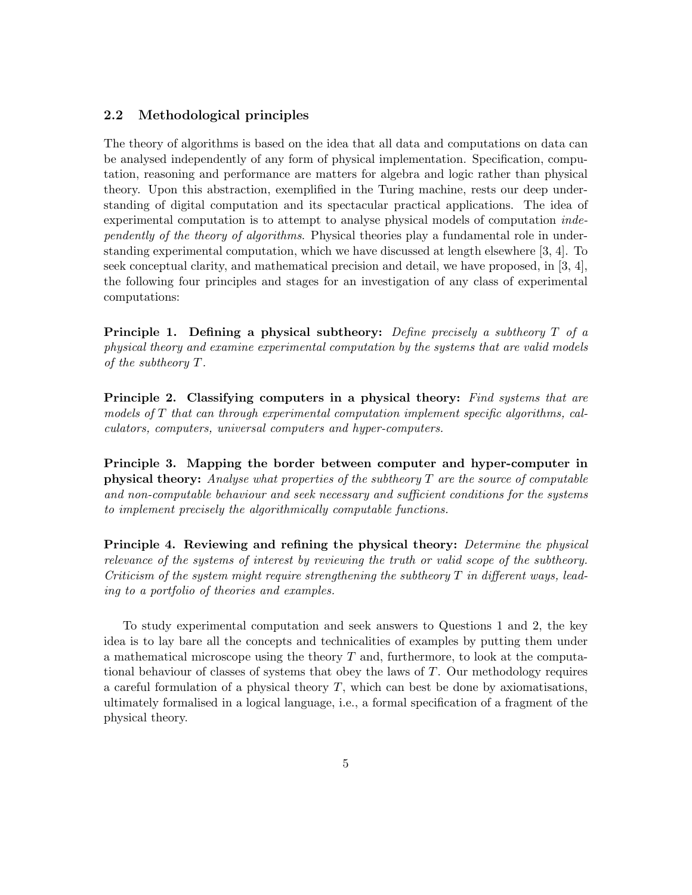## 2.2 Methodological principles

The theory of algorithms is based on the idea that all data and computations on data can be analysed independently of any form of physical implementation. Specification, computation, reasoning and performance are matters for algebra and logic rather than physical theory. Upon this abstraction, exemplified in the Turing machine, rests our deep understanding of digital computation and its spectacular practical applications. The idea of experimental computation is to attempt to analyse physical models of computation independently of the theory of algorithms. Physical theories play a fundamental role in understanding experimental computation, which we have discussed at length elsewhere [3, 4]. To seek conceptual clarity, and mathematical precision and detail, we have proposed, in [3, 4], the following four principles and stages for an investigation of any class of experimental computations:

**Principle 1.** Defining a physical subtheory: Define precisely a subtheory  $T$  of a physical theory and examine experimental computation by the systems that are valid models of the subtheory T.

Principle 2. Classifying computers in a physical theory: Find systems that are models of T that can through experimental computation implement specific algorithms, calculators, computers, universal computers and hyper-computers.

Principle 3. Mapping the border between computer and hyper-computer in **physical theory:** Analyse what properties of the subtheory  $T$  are the source of computable and non-computable behaviour and seek necessary and sufficient conditions for the systems to implement precisely the algorithmically computable functions.

Principle 4. Reviewing and refining the physical theory: Determine the physical relevance of the systems of interest by reviewing the truth or valid scope of the subtheory. Criticism of the system might require strengthening the subtheory  $T$  in different ways, leading to a portfolio of theories and examples.

To study experimental computation and seek answers to Questions 1 and 2, the key idea is to lay bare all the concepts and technicalities of examples by putting them under a mathematical microscope using the theory  $T$  and, furthermore, to look at the computational behaviour of classes of systems that obey the laws of T. Our methodology requires a careful formulation of a physical theory  $T$ , which can best be done by axiomatisations, ultimately formalised in a logical language, i.e., a formal specification of a fragment of the physical theory.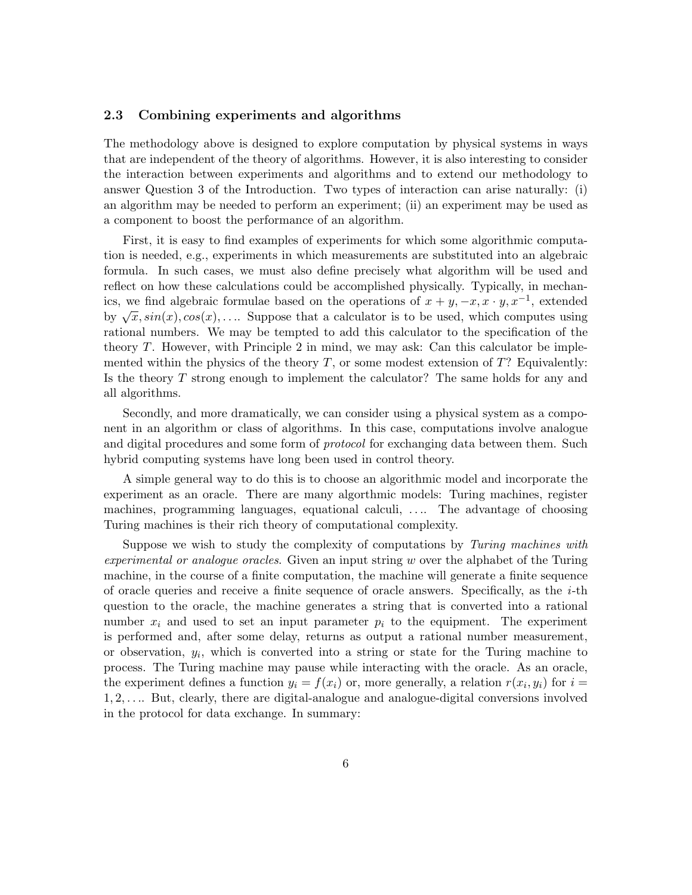### 2.3 Combining experiments and algorithms

The methodology above is designed to explore computation by physical systems in ways that are independent of the theory of algorithms. However, it is also interesting to consider the interaction between experiments and algorithms and to extend our methodology to answer Question 3 of the Introduction. Two types of interaction can arise naturally: (i) an algorithm may be needed to perform an experiment; (ii) an experiment may be used as a component to boost the performance of an algorithm.

First, it is easy to find examples of experiments for which some algorithmic computation is needed, e.g., experiments in which measurements are substituted into an algebraic formula. In such cases, we must also define precisely what algorithm will be used and reflect on how these calculations could be accomplished physically. Typically, in mechanics, we find algebraic formulae based on the operations of  $x + y, -x, x \cdot y, x^{-1}$ , extended by  $\sqrt{x}, \sin(x), \cos(x), \ldots$  Suppose that a calculator is to be used, which computes using rational numbers. We may be tempted to add this calculator to the specification of the theory T. However, with Principle 2 in mind, we may ask: Can this calculator be implemented within the physics of the theory  $T$ , or some modest extension of  $T$ ? Equivalently: Is the theory T strong enough to implement the calculator? The same holds for any and all algorithms.

Secondly, and more dramatically, we can consider using a physical system as a component in an algorithm or class of algorithms. In this case, computations involve analogue and digital procedures and some form of *protocol* for exchanging data between them. Such hybrid computing systems have long been used in control theory.

A simple general way to do this is to choose an algorithmic model and incorporate the experiment as an oracle. There are many algorthmic models: Turing machines, register machines, programming languages, equational calculi, .... The advantage of choosing Turing machines is their rich theory of computational complexity.

Suppose we wish to study the complexity of computations by Turing machines with experimental or analogue oracles. Given an input string w over the alphabet of the Turing machine, in the course of a finite computation, the machine will generate a finite sequence of oracle queries and receive a finite sequence of oracle answers. Specifically, as the  $i$ -th question to the oracle, the machine generates a string that is converted into a rational number  $x_i$  and used to set an input parameter  $p_i$  to the equipment. The experiment is performed and, after some delay, returns as output a rational number measurement, or observation,  $y_i$ , which is converted into a string or state for the Turing machine to process. The Turing machine may pause while interacting with the oracle. As an oracle, the experiment defines a function  $y_i = f(x_i)$  or, more generally, a relation  $r(x_i, y_i)$  for  $i =$ 1, 2, . . .. But, clearly, there are digital-analogue and analogue-digital conversions involved in the protocol for data exchange. In summary: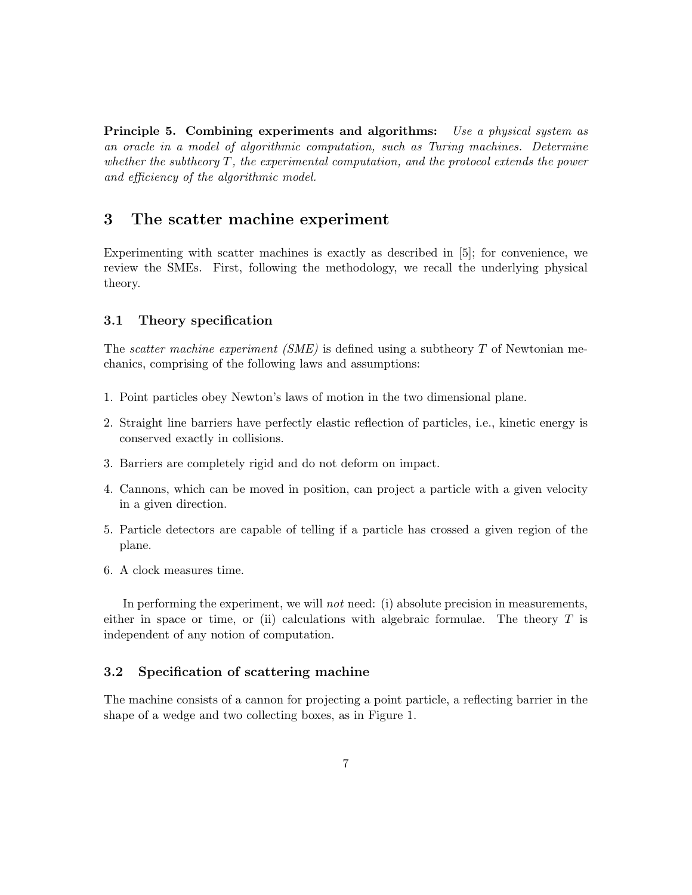Principle 5. Combining experiments and algorithms: Use a physical system as an oracle in a model of algorithmic computation, such as Turing machines. Determine whether the subtheory  $T$ , the experimental computation, and the protocol extends the power and efficiency of the algorithmic model.

# 3 The scatter machine experiment

Experimenting with scatter machines is exactly as described in [5]; for convenience, we review the SMEs. First, following the methodology, we recall the underlying physical theory.

### 3.1 Theory specification

The *scatter machine experiment (SME)* is defined using a subtheory  $T$  of Newtonian mechanics, comprising of the following laws and assumptions:

- 1. Point particles obey Newton's laws of motion in the two dimensional plane.
- 2. Straight line barriers have perfectly elastic reflection of particles, i.e., kinetic energy is conserved exactly in collisions.
- 3. Barriers are completely rigid and do not deform on impact.
- 4. Cannons, which can be moved in position, can project a particle with a given velocity in a given direction.
- 5. Particle detectors are capable of telling if a particle has crossed a given region of the plane.
- 6. A clock measures time.

In performing the experiment, we will *not* need: (i) absolute precision in measurements, either in space or time, or (ii) calculations with algebraic formulae. The theory  $T$  is independent of any notion of computation.

### 3.2 Specification of scattering machine

The machine consists of a cannon for projecting a point particle, a reflecting barrier in the shape of a wedge and two collecting boxes, as in Figure 1.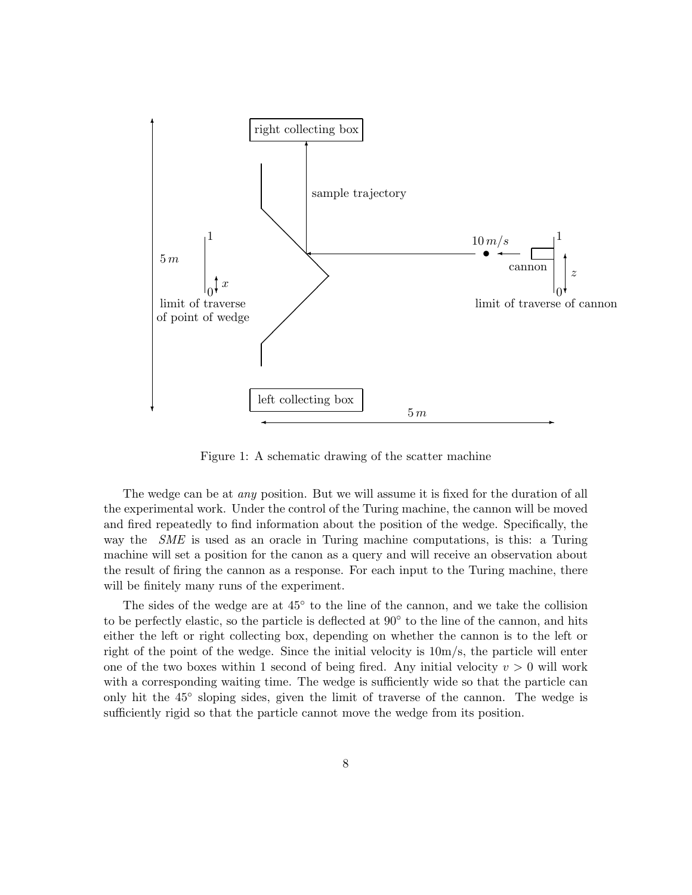

Figure 1: A schematic drawing of the scatter machine

The wedge can be at any position. But we will assume it is fixed for the duration of all the experimental work. Under the control of the Turing machine, the cannon will be moved and fired repeatedly to find information about the position of the wedge. Specifically, the way the *SME* is used as an oracle in Turing machine computations, is this: a Turing machine will set a position for the canon as a query and will receive an observation about the result of firing the cannon as a response. For each input to the Turing machine, there will be finitely many runs of the experiment.

The sides of the wedge are at  $45^{\circ}$  to the line of the cannon, and we take the collision to be perfectly elastic, so the particle is deflected at 90<sup>°</sup> to the line of the cannon, and hits either the left or right collecting box, depending on whether the cannon is to the left or right of the point of the wedge. Since the initial velocity is 10m/s, the particle will enter one of the two boxes within 1 second of being fired. Any initial velocity  $v > 0$  will work with a corresponding waiting time. The wedge is sufficiently wide so that the particle can only hit the 45◦ sloping sides, given the limit of traverse of the cannon. The wedge is sufficiently rigid so that the particle cannot move the wedge from its position.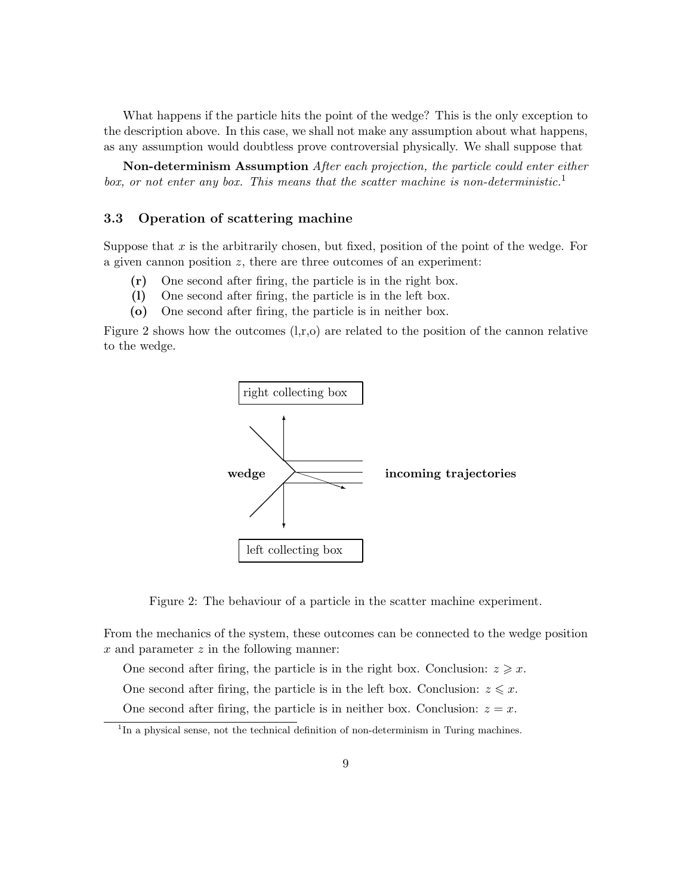What happens if the particle hits the point of the wedge? This is the only exception to the description above. In this case, we shall not make any assumption about what happens, as any assumption would doubtless prove controversial physically. We shall suppose that

Non-determinism Assumption After each projection, the particle could enter either box, or not enter any box. This means that the scatter machine is non-deterministic.<sup>1</sup>

### 3.3 Operation of scattering machine

Suppose that x is the arbitrarily chosen, but fixed, position of the point of the wedge. For a given cannon position  $z$ , there are three outcomes of an experiment:

- (r) One second after firing, the particle is in the right box.
- (l) One second after firing, the particle is in the left box.
- (o) One second after firing, the particle is in neither box.

Figure 2 shows how the outcomes  $(l,r,o)$  are related to the position of the cannon relative to the wedge.



Figure 2: The behaviour of a particle in the scatter machine experiment.

From the mechanics of the system, these outcomes can be connected to the wedge position  $x$  and parameter  $z$  in the following manner:

One second after firing, the particle is in the right box. Conclusion:  $z \geqslant x$ .

One second after firing, the particle is in the left box. Conclusion:  $z \leqslant x$ .

One second after firing, the particle is in neither box. Conclusion:  $z = x$ .

<sup>&</sup>lt;sup>1</sup>In a physical sense, not the technical definition of non-determinism in Turing machines.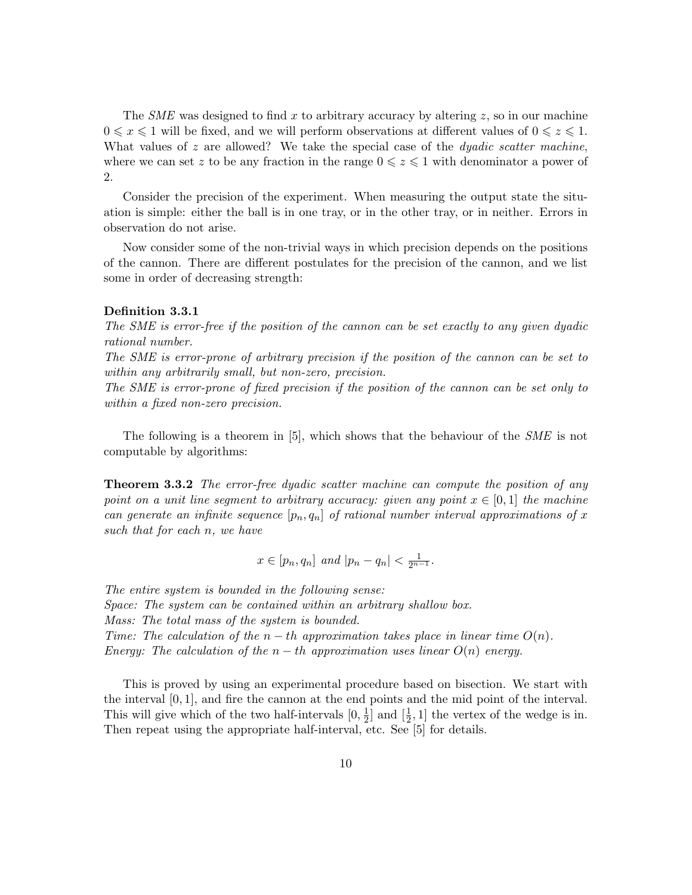The SME was designed to find x to arbitrary accuracy by altering  $z$ , so in our machine  $0 \leqslant x \leqslant 1$  will be fixed, and we will perform observations at different values of  $0 \leqslant z \leqslant 1$ . What values of  $z$  are allowed? We take the special case of the *dyadic scatter machine*, where we can set z to be any fraction in the range  $0 \leq z \leq 1$  with denominator a power of 2.

Consider the precision of the experiment. When measuring the output state the situation is simple: either the ball is in one tray, or in the other tray, or in neither. Errors in observation do not arise.

Now consider some of the non-trivial ways in which precision depends on the positions of the cannon. There are different postulates for the precision of the cannon, and we list some in order of decreasing strength:

#### Definition 3.3.1

The SME is error-free if the position of the cannon can be set exactly to any given dyadic rational number.

The SME is error-prone of arbitrary precision if the position of the cannon can be set to within any arbitrarily small, but non-zero, precision.

The SME is error-prone of fixed precision if the position of the cannon can be set only to within a fixed non-zero precision.

The following is a theorem in [5], which shows that the behaviour of the SME is not computable by algorithms:

**Theorem 3.3.2** The error-free dyadic scatter machine can compute the position of any point on a unit line segment to arbitrary accuracy: given any point  $x \in [0,1]$  the machine can generate an infinite sequence  $[p_n, q_n]$  of rational number interval approximations of x such that for each n, we have

$$
x \in [p_n, q_n]
$$
 and  $|p_n - q_n| < \frac{1}{2^{n-1}}$ .

The entire system is bounded in the following sense: Space: The system can be contained within an arbitrary shallow box. Mass: The total mass of the system is bounded. Time: The calculation of the  $n-th$  approximation takes place in linear time  $O(n)$ . Energy: The calculation of the  $n - th$  approximation uses linear  $O(n)$  energy.

This is proved by using an experimental procedure based on bisection. We start with the interval [0, 1], and fire the cannon at the end points and the mid point of the interval. This will give which of the two half-intervals  $[0, \frac{1}{2}]$  $\frac{1}{2}$  and  $\left[\frac{1}{2},1\right]$  the vertex of the wedge is in. Then repeat using the appropriate half-interval, etc. See [5] for details.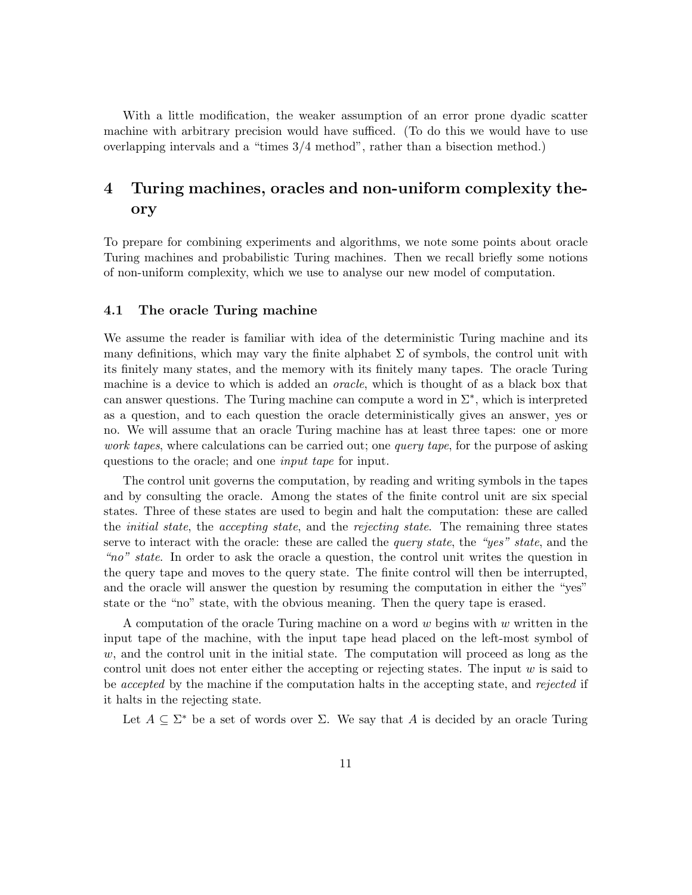With a little modification, the weaker assumption of an error prone dyadic scatter machine with arbitrary precision would have sufficed. (To do this we would have to use overlapping intervals and a "times 3/4 method", rather than a bisection method.)

# 4 Turing machines, oracles and non-uniform complexity theory

To prepare for combining experiments and algorithms, we note some points about oracle Turing machines and probabilistic Turing machines. Then we recall briefly some notions of non-uniform complexity, which we use to analyse our new model of computation.

## 4.1 The oracle Turing machine

We assume the reader is familiar with idea of the deterministic Turing machine and its many definitions, which may vary the finite alphabet  $\Sigma$  of symbols, the control unit with its finitely many states, and the memory with its finitely many tapes. The oracle Turing machine is a device to which is added an *oracle*, which is thought of as a black box that can answer questions. The Turing machine can compute a word in  $\Sigma^*$ , which is interpreted as a question, and to each question the oracle deterministically gives an answer, yes or no. We will assume that an oracle Turing machine has at least three tapes: one or more work tapes, where calculations can be carried out; one *query tape*, for the purpose of asking questions to the oracle; and one input tape for input.

The control unit governs the computation, by reading and writing symbols in the tapes and by consulting the oracle. Among the states of the finite control unit are six special states. Three of these states are used to begin and halt the computation: these are called the *initial state*, the *accepting state*, and the *rejecting state*. The remaining three states serve to interact with the oracle: these are called the *query state*, the "yes" state, and the "no" state. In order to ask the oracle a question, the control unit writes the question in the query tape and moves to the query state. The finite control will then be interrupted, and the oracle will answer the question by resuming the computation in either the "yes" state or the "no" state, with the obvious meaning. Then the query tape is erased.

A computation of the oracle Turing machine on a word  $w$  begins with  $w$  written in the input tape of the machine, with the input tape head placed on the left-most symbol of  $w$ , and the control unit in the initial state. The computation will proceed as long as the control unit does not enter either the accepting or rejecting states. The input  $w$  is said to be accepted by the machine if the computation halts in the accepting state, and rejected if it halts in the rejecting state.

Let  $A \subseteq \Sigma^*$  be a set of words over  $\Sigma$ . We say that A is decided by an oracle Turing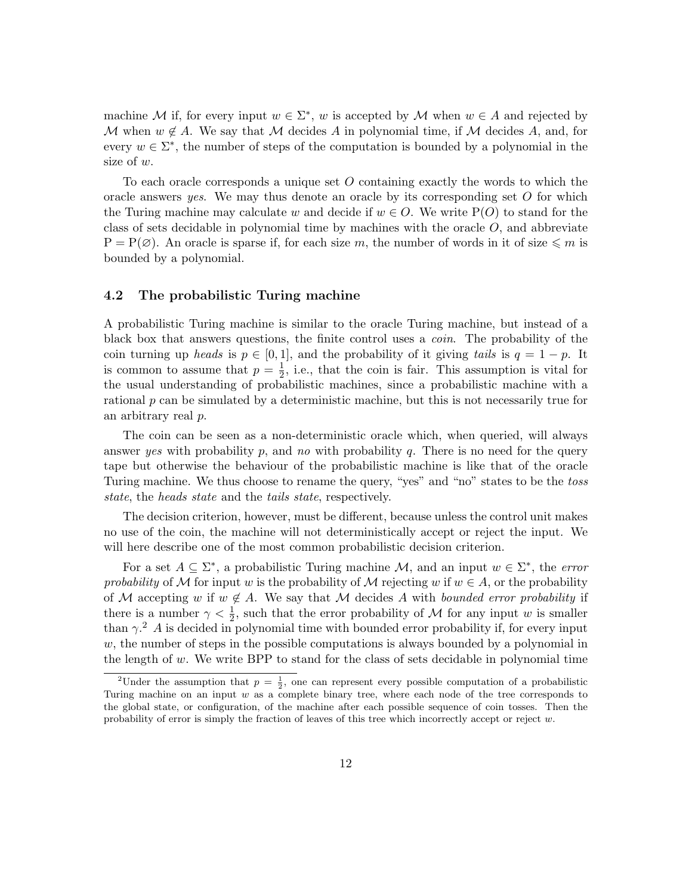machine M if, for every input  $w \in \Sigma^*$ , w is accepted by M when  $w \in A$  and rejected by M when  $w \notin A$ . We say that M decides A in polynomial time, if M decides A, and, for every  $w \in \Sigma^*$ , the number of steps of the computation is bounded by a polynomial in the size of  $w$ .

To each oracle corresponds a unique set  $O$  containing exactly the words to which the oracle answers yes. We may thus denote an oracle by its corresponding set  $O$  for which the Turing machine may calculate w and decide if  $w \in O$ . We write P(O) to stand for the class of sets decidable in polynomial time by machines with the oracle  $O$ , and abbreviate  $P = P(\emptyset)$ . An oracle is sparse if, for each size m, the number of words in it of size  $\leq m$  is bounded by a polynomial.

### 4.2 The probabilistic Turing machine

A probabilistic Turing machine is similar to the oracle Turing machine, but instead of a black box that answers questions, the finite control uses a coin. The probability of the coin turning up heads is  $p \in [0, 1]$ , and the probability of it giving tails is  $q = 1 - p$ . It is common to assume that  $p=\frac{1}{2}$  $\frac{1}{2}$ , i.e., that the coin is fair. This assumption is vital for the usual understanding of probabilistic machines, since a probabilistic machine with a rational  $p$  can be simulated by a deterministic machine, but this is not necessarily true for an arbitrary real p.

The coin can be seen as a non-deterministic oracle which, when queried, will always answer yes with probability p, and no with probability q. There is no need for the query tape but otherwise the behaviour of the probabilistic machine is like that of the oracle Turing machine. We thus choose to rename the query, "yes" and "no" states to be the toss state, the heads state and the tails state, respectively.

The decision criterion, however, must be different, because unless the control unit makes no use of the coin, the machine will not deterministically accept or reject the input. We will here describe one of the most common probabilistic decision criterion.

For a set  $A \subseteq \Sigma^*$ , a probabilistic Turing machine M, and an input  $w \in \Sigma^*$ , the *error* probability of M for input w is the probability of M rejecting w if  $w \in A$ , or the probability of M accepting w if  $w \notin A$ . We say that M decides A with bounded error probability if there is a number  $\gamma < \frac{1}{2}$ , such that the error probability of M for any input w is smaller than  $\gamma$ <sup>2</sup> A is decided in polynomial time with bounded error probability if, for every input  $w$ , the number of steps in the possible computations is always bounded by a polynomial in the length of  $w$ . We write BPP to stand for the class of sets decidable in polynomial time

<sup>&</sup>lt;sup>2</sup>Under the assumption that  $p = \frac{1}{2}$ , one can represent every possible computation of a probabilistic Turing machine on an input  $w$  as a complete binary tree, where each node of the tree corresponds to the global state, or configuration, of the machine after each possible sequence of coin tosses. Then the probability of error is simply the fraction of leaves of this tree which incorrectly accept or reject w.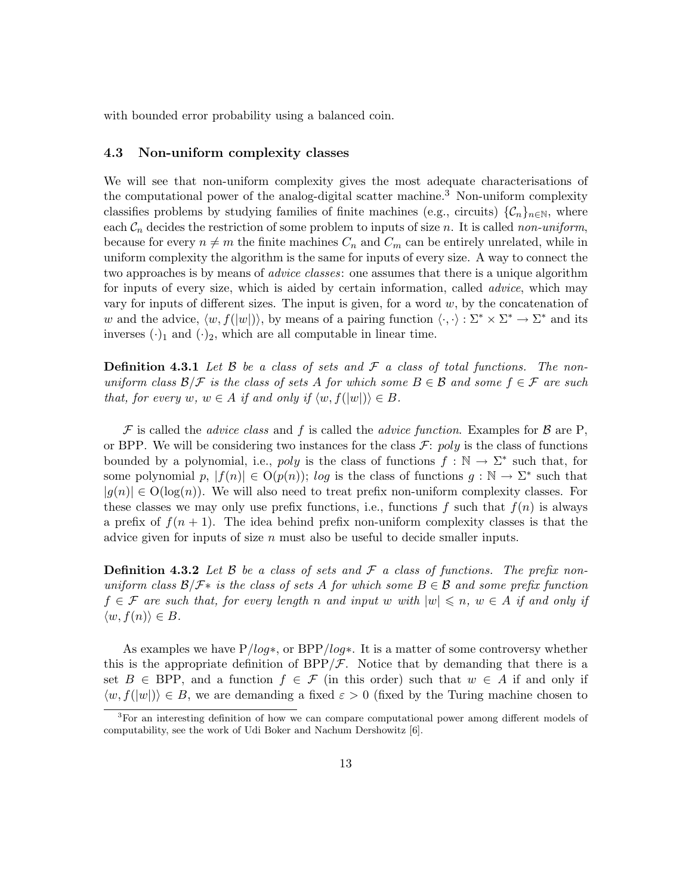with bounded error probability using a balanced coin.

#### 4.3 Non-uniform complexity classes

We will see that non-uniform complexity gives the most adequate characterisations of the computational power of the analog-digital scatter machine.<sup>3</sup> Non-uniform complexity classifies problems by studying families of finite machines (e.g., circuits)  $\{\mathcal{C}_n\}_{n\in\mathbb{N}}$ , where each  $\mathcal{C}_n$  decides the restriction of some problem to inputs of size n. It is called non-uniform, because for every  $n \neq m$  the finite machines  $C_n$  and  $C_m$  can be entirely unrelated, while in uniform complexity the algorithm is the same for inputs of every size. A way to connect the two approaches is by means of *advice classes*: one assumes that there is a unique algorithm for inputs of every size, which is aided by certain information, called *advice*, which may vary for inputs of different sizes. The input is given, for a word  $w$ , by the concatenation of w and the advice,  $\langle w, f(|w|) \rangle$ , by means of a pairing function  $\langle \cdot, \cdot \rangle : \Sigma^* \times \Sigma^* \to \Sigma^*$  and its inverses  $(\cdot)_1$  and  $(\cdot)_2$ , which are all computable in linear time.

**Definition 4.3.1** Let  $\beta$  be a class of sets and  $\mathcal F$  a class of total functions. The nonuniform class  $\mathcal{B}/\mathcal{F}$  is the class of sets A for which some  $B \in \mathcal{B}$  and some  $f \in \mathcal{F}$  are such that, for every w,  $w \in A$  if and only if  $\langle w, f(|w|) \rangle \in B$ .

F is called the *advice class* and f is called the *advice function*. Examples for  $\beta$  are P, or BPP. We will be considering two instances for the class  $\mathcal{F}$ : poly is the class of functions bounded by a polynomial, i.e., poly is the class of functions  $f : \mathbb{N} \to \Sigma^*$  such that, for some polynomial p,  $|f(n)| \in O(p(n))$ ; log is the class of functions  $g : \mathbb{N} \to \Sigma^*$  such that  $|g(n)| \in O(log(n))$ . We will also need to treat prefix non-uniform complexity classes. For these classes we may only use prefix functions, i.e., functions f such that  $f(n)$  is always a prefix of  $f(n + 1)$ . The idea behind prefix non-uniform complexity classes is that the advice given for inputs of size  $n$  must also be useful to decide smaller inputs.

**Definition 4.3.2** Let B be a class of sets and F a class of functions. The prefix nonuniform class  $\mathcal{B}/\mathcal{F}^*$  is the class of sets A for which some  $B \in \mathcal{B}$  and some prefix function  $f \in \mathcal{F}$  are such that, for every length n and input w with  $|w| \leqslant n$ ,  $w \in A$  if and only if  $\langle w, f(n) \rangle \in B$ .

As examples we have  $P/log*$ , or  $BPP/log*$ . It is a matter of some controversy whether this is the appropriate definition of  $BPP/\mathcal{F}$ . Notice that by demanding that there is a set  $B \in BPP$ , and a function  $f \in \mathcal{F}$  (in this order) such that  $w \in A$  if and only if  $\langle w, f(|w|) \rangle \in B$ , we are demanding a fixed  $\varepsilon > 0$  (fixed by the Turing machine chosen to

<sup>&</sup>lt;sup>3</sup>For an interesting definition of how we can compare computational power among different models of computability, see the work of Udi Boker and Nachum Dershowitz [6].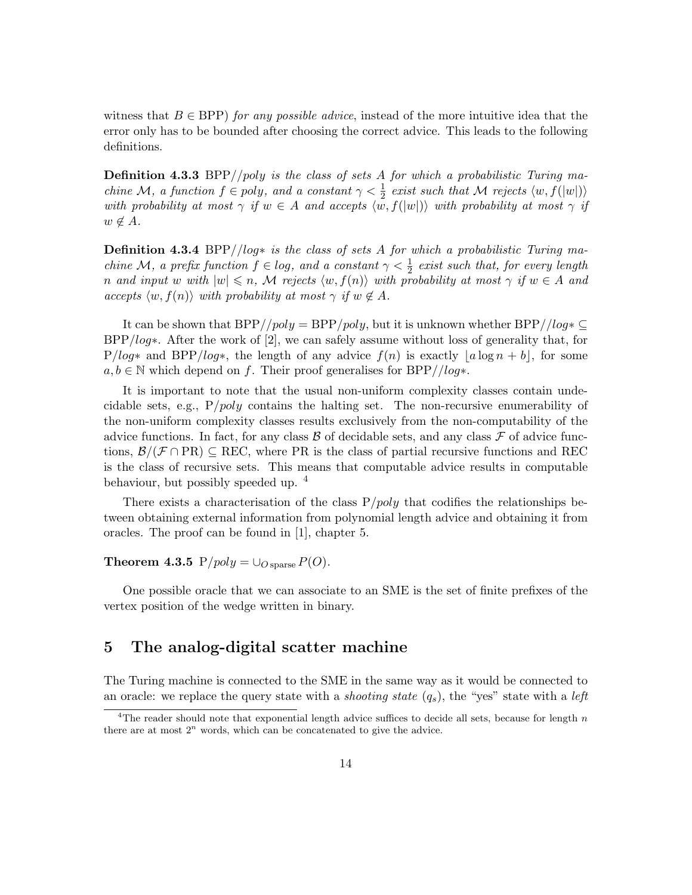witness that  $B \in BPP$ ) for any possible advice, instead of the more intuitive idea that the error only has to be bounded after choosing the correct advice. This leads to the following definitions.

**Definition 4.3.3** BPP//poly is the class of sets A for which a probabilistic Turing machine M, a function  $f \in poly$ , and a constant  $\gamma < \frac{1}{2}$  exist such that M rejects  $\langle w, f(|w|) \rangle$ with probability at most  $\gamma$  if  $w \in A$  and accepts  $\langle w, f(|w|) \rangle$  with probability at most  $\gamma$  if  $w \notin A$ .

**Definition 4.3.4** BPP//log<sup>\*</sup> is the class of sets A for which a probabilistic Turing machine M, a prefix function  $f \in log$ , and a constant  $\gamma < \frac{1}{2}$  exist such that, for every length n and input w with  $|w| \leq n$ , M rejects  $\langle w, f(n) \rangle$  with probability at most  $\gamma$  if  $w \in A$  and accepts  $\langle w, f(n) \rangle$  with probability at most  $\gamma$  if  $w \notin A$ .

It can be shown that BPP//poly = BPP/poly, but it is unknown whether BPP//log\*  $\subseteq$ BPP/log∗. After the work of [2], we can safely assume without loss of generality that, for  $P/log*$  and BPP/log<sup>\*</sup>, the length of any advice  $f(n)$  is exactly  $|a \log n + b|$ , for some  $a, b \in \mathbb{N}$  which depend on f. Their proof generalises for BPP//log\*.

It is important to note that the usual non-uniform complexity classes contain undecidable sets, e.g.,  $P/poly$  contains the halting set. The non-recursive enumerability of the non-uniform complexity classes results exclusively from the non-computability of the advice functions. In fact, for any class  $\beta$  of decidable sets, and any class  $\mathcal F$  of advice functions,  $\mathcal{B}/(\mathcal{F} \cap PR) \subseteq$  REC, where PR is the class of partial recursive functions and REC is the class of recursive sets. This means that computable advice results in computable behaviour, but possibly speeded up. <sup>4</sup>

There exists a characterisation of the class  $P/poly$  that codifies the relationships between obtaining external information from polynomial length advice and obtaining it from oracles. The proof can be found in [1], chapter 5.

Theorem 4.3.5  $P/poly = \bigcup_{O \text{ sparse}} P(O)$ .

One possible oracle that we can associate to an SME is the set of finite prefixes of the vertex position of the wedge written in binary.

# 5 The analog-digital scatter machine

The Turing machine is connected to the SME in the same way as it would be connected to an oracle: we replace the query state with a *shooting state*  $(q_s)$ , the "yes" state with a *left* 

<sup>&</sup>lt;sup>4</sup>The reader should note that exponential length advice suffices to decide all sets, because for length  $n$ there are at most  $2<sup>n</sup>$  words, which can be concatenated to give the advice.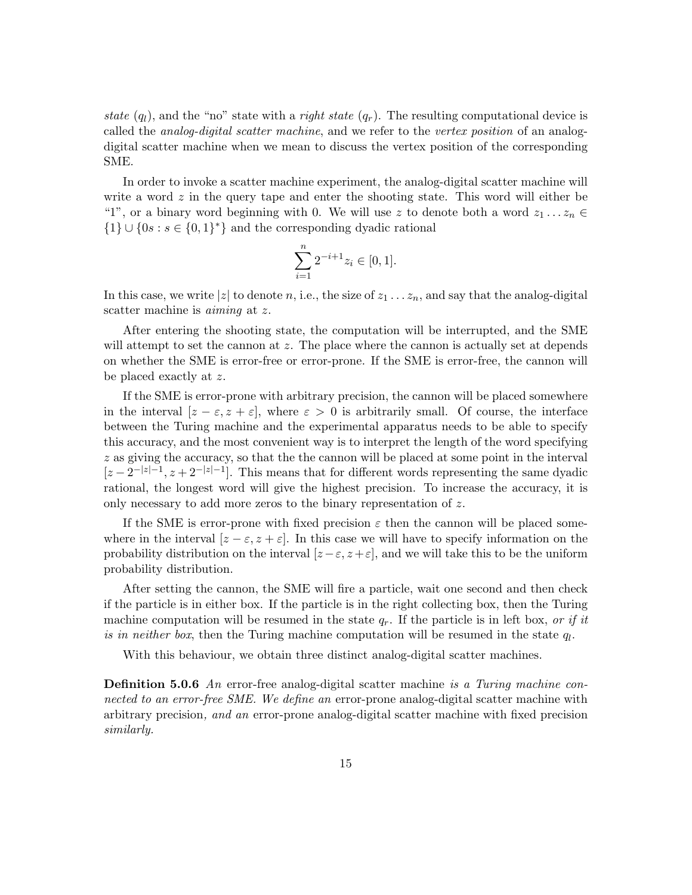state  $(q_l)$ , and the "no" state with a *right state*  $(q_r)$ . The resulting computational device is called the *analog-digital scatter machine*, and we refer to the vertex position of an analogdigital scatter machine when we mean to discuss the vertex position of the corresponding SME.

In order to invoke a scatter machine experiment, the analog-digital scatter machine will write a word  $z$  in the query tape and enter the shooting state. This word will either be "1", or a binary word beginning with 0. We will use z to denote both a word  $z_1 \ldots z_n \in$  $\{1\} \cup \{0s : s \in \{0,1\}^*\}$  and the corresponding dyadic rational

$$
\sum_{i=1}^{n} 2^{-i+1} z_i \in [0, 1].
$$

In this case, we write |z| to denote n, i.e., the size of  $z_1 \ldots z_n$ , and say that the analog-digital scatter machine is *aiming* at z.

After entering the shooting state, the computation will be interrupted, and the SME will attempt to set the cannon at  $z$ . The place where the cannon is actually set at depends on whether the SME is error-free or error-prone. If the SME is error-free, the cannon will be placed exactly at z.

If the SME is error-prone with arbitrary precision, the cannon will be placed somewhere in the interval  $[z - \varepsilon, z + \varepsilon]$ , where  $\varepsilon > 0$  is arbitrarily small. Of course, the interface between the Turing machine and the experimental apparatus needs to be able to specify this accuracy, and the most convenient way is to interpret the length of the word specifying  $z$  as giving the accuracy, so that the the cannon will be placed at some point in the interval  $[z-2^{-|z|-1}, z+2^{-|z|-1}]$ . This means that for different words representing the same dyadic rational, the longest word will give the highest precision. To increase the accuracy, it is only necessary to add more zeros to the binary representation of z.

If the SME is error-prone with fixed precision  $\varepsilon$  then the cannon will be placed somewhere in the interval  $[z - \varepsilon, z + \varepsilon]$ . In this case we will have to specify information on the probability distribution on the interval  $[z - \varepsilon, z + \varepsilon]$ , and we will take this to be the uniform probability distribution.

After setting the cannon, the SME will fire a particle, wait one second and then check if the particle is in either box. If the particle is in the right collecting box, then the Turing machine computation will be resumed in the state  $q_r$ . If the particle is in left box, or if it is in neither box, then the Turing machine computation will be resumed in the state  $q_l$ .

With this behaviour, we obtain three distinct analog-digital scatter machines.

**Definition 5.0.6** An error-free analog-digital scatter machine is a Turing machine connected to an error-free SME. We define an error-prone analog-digital scatter machine with arbitrary precision, and an error-prone analog-digital scatter machine with fixed precision similarly.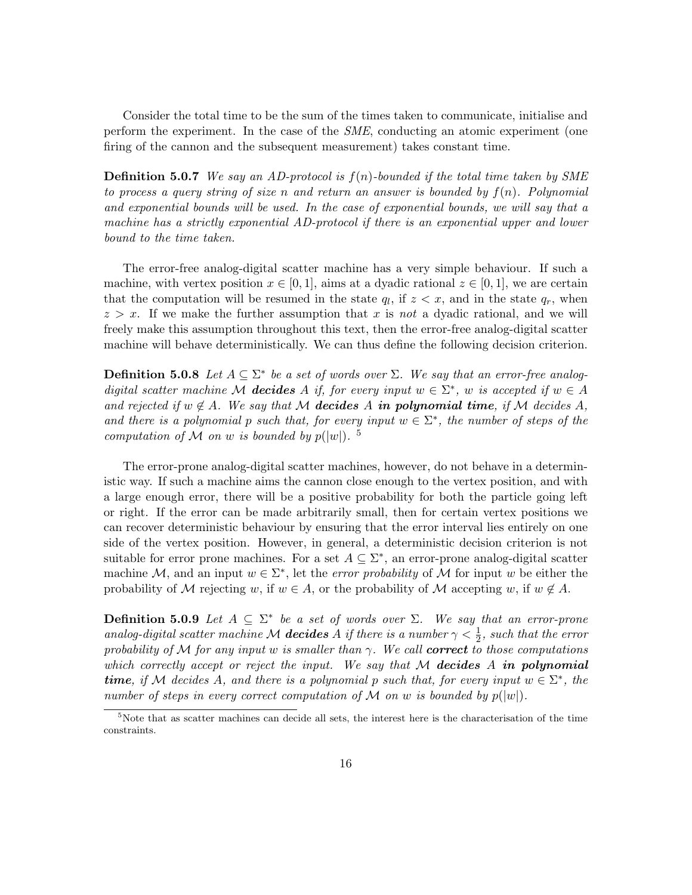Consider the total time to be the sum of the times taken to communicate, initialise and perform the experiment. In the case of the SME, conducting an atomic experiment (one firing of the cannon and the subsequent measurement) takes constant time.

**Definition 5.0.7** We say an AD-protocol is  $f(n)$ -bounded if the total time taken by SME to process a query string of size n and return an answer is bounded by  $f(n)$ . Polynomial and exponential bounds will be used. In the case of exponential bounds, we will say that a machine has a strictly exponential AD-protocol if there is an exponential upper and lower bound to the time taken.

The error-free analog-digital scatter machine has a very simple behaviour. If such a machine, with vertex position  $x \in [0,1]$ , aims at a dyadic rational  $z \in [0,1]$ , we are certain that the computation will be resumed in the state  $q_l$ , if  $z \leq x$ , and in the state  $q_r$ , when  $z > x$ . If we make the further assumption that x is not a dyadic rational, and we will freely make this assumption throughout this text, then the error-free analog-digital scatter machine will behave deterministically. We can thus define the following decision criterion.

**Definition 5.0.8** Let  $A \subseteq \Sigma^*$  be a set of words over  $\Sigma$ . We say that an error-free analogdigital scatter machine M decides A if, for every input  $w \in \Sigma^*$ , w is accepted if  $w \in A$ and rejected if  $w \notin A$ . We say that M **decides** A in polynomial time, if M decides A, and there is a polynomial p such that, for every input  $w \in \Sigma^*$ , the number of steps of the computation of M on w is bounded by  $p(|w|)$ .<sup>5</sup>

The error-prone analog-digital scatter machines, however, do not behave in a deterministic way. If such a machine aims the cannon close enough to the vertex position, and with a large enough error, there will be a positive probability for both the particle going left or right. If the error can be made arbitrarily small, then for certain vertex positions we can recover deterministic behaviour by ensuring that the error interval lies entirely on one side of the vertex position. However, in general, a deterministic decision criterion is not suitable for error prone machines. For a set  $A \subseteq \Sigma^*$ , an error-prone analog-digital scatter machine M, and an input  $w \in \Sigma^*$ , let the *error probability* of M for input w be either the probability of M rejecting w, if  $w \in A$ , or the probability of M accepting w, if  $w \notin A$ .

**Definition 5.0.9** Let  $A \subseteq \Sigma^*$  be a set of words over  $\Sigma$ . We say that an error-prone analog-digital scatter machine M **decides** A if there is a number  $\gamma < \frac{1}{2}$ , such that the error probability of M for any input w is smaller than  $\gamma$ . We call **correct** to those computations which correctly accept or reject the input. We say that  $M$  decides A in polynomial time, if M decides A, and there is a polynomial p such that, for every input  $w \in \Sigma^*$ , the number of steps in every correct computation of M on w is bounded by  $p(|w|)$ .

<sup>&</sup>lt;sup>5</sup>Note that as scatter machines can decide all sets, the interest here is the characterisation of the time constraints.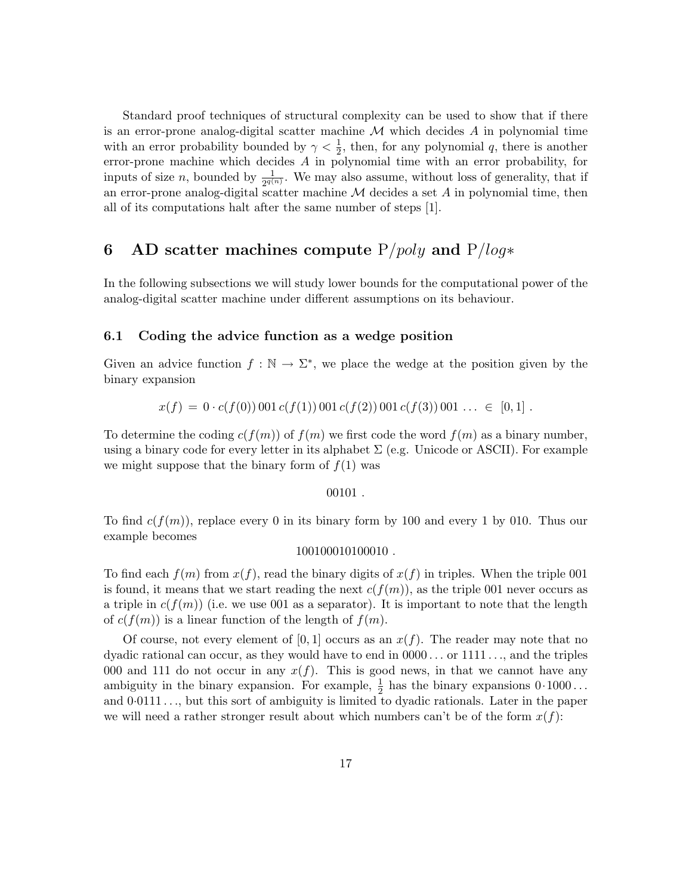Standard proof techniques of structural complexity can be used to show that if there is an error-prone analog-digital scatter machine  $M$  which decides  $A$  in polynomial time with an error probability bounded by  $\gamma < \frac{1}{2}$ , then, for any polynomial q, there is another error-prone machine which decides A in polynomial time with an error probability, for inputs of size *n*, bounded by  $\frac{1}{2^{q(n)}}$ . We may also assume, without loss of generality, that if an error-prone analog-digital scatter machine  $M$  decides a set  $A$  in polynomial time, then all of its computations halt after the same number of steps [1].

# 6 AD scatter machines compute  $P/poly$  and  $P/log*$

In the following subsections we will study lower bounds for the computational power of the analog-digital scatter machine under different assumptions on its behaviour.

### 6.1 Coding the advice function as a wedge position

Given an advice function  $f : \mathbb{N} \to \Sigma^*$ , we place the wedge at the position given by the binary expansion

$$
x(f) = 0 \cdot c(f(0))\,001\,c(f(1))\,001\,c(f(2))\,001\,c(f(3))\,001\ldots \in [0,1].
$$

To determine the coding  $c(f(m))$  of  $f(m)$  we first code the word  $f(m)$  as a binary number, using a binary code for every letter in its alphabet  $\Sigma$  (e.g. Unicode or ASCII). For example we might suppose that the binary form of  $f(1)$  was

00101 .

To find  $c(f(m))$ , replace every 0 in its binary form by 100 and every 1 by 010. Thus our example becomes

#### 100100010100010 .

To find each  $f(m)$  from  $x(f)$ , read the binary digits of  $x(f)$  in triples. When the triple 001 is found, it means that we start reading the next  $c(f(m))$ , as the triple 001 never occurs as a triple in  $c(f(m))$  (i.e. we use 001 as a separator). It is important to note that the length of  $c(f(m))$  is a linear function of the length of  $f(m)$ .

Of course, not every element of [0, 1] occurs as an  $x(f)$ . The reader may note that no dyadic rational can occur, as they would have to end in  $0000...$  or  $1111...$ , and the triples 000 and 111 do not occur in any  $x(f)$ . This is good news, in that we cannot have any ambiguity in the binary expansion. For example,  $\frac{1}{2}$  has the binary expansions  $0.1000...$ and  $0.0111...$ , but this sort of ambiguity is limited to dyadic rationals. Later in the paper we will need a rather stronger result about which numbers can't be of the form  $x(f)$ :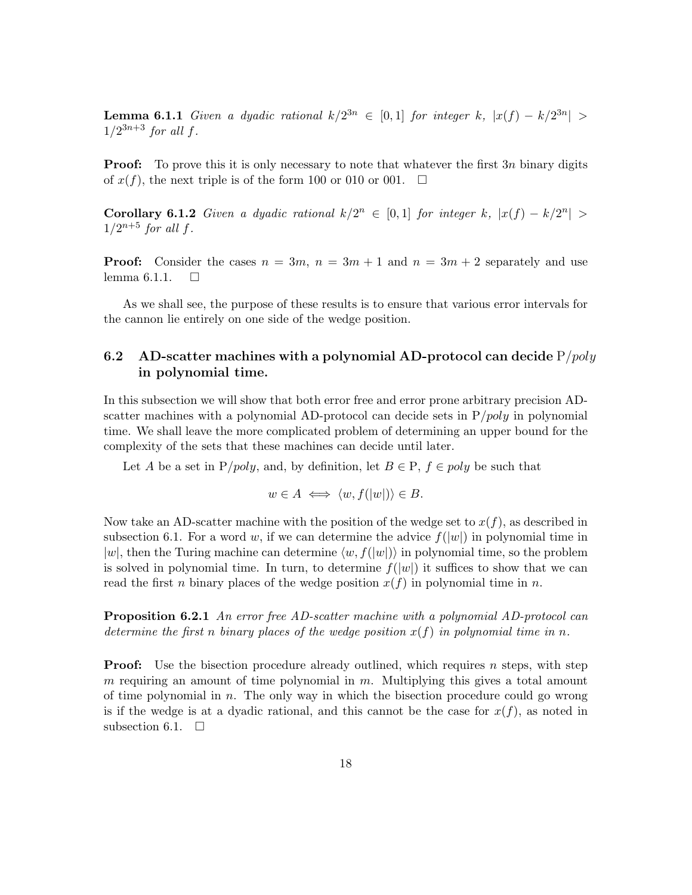**Lemma 6.1.1** Given a dyadic rational  $k/2^{3n} \in [0,1]$  for integer k,  $|x(f) - k/2^{3n}| >$  $1/2^{3n+3}$  for all f.

**Proof:** To prove this it is only necessary to note that whatever the first  $3n$  binary digits of  $x(f)$ , the next triple is of the form 100 or 010 or 001.  $\Box$ 

Corollary 6.1.2 Given a dyadic rational  $k/2^n \in [0,1]$  for integer k,  $|x(f) - k/2^n| >$  $1/2^{n+5}$  for all f.

**Proof:** Consider the cases  $n = 3m$ ,  $n = 3m + 1$  and  $n = 3m + 2$  separately and use lemma 6.1.1.  $\square$ 

As we shall see, the purpose of these results is to ensure that various error intervals for the cannon lie entirely on one side of the wedge position.

## 6.2 AD-scatter machines with a polynomial AD-protocol can decide  $P/poly$ in polynomial time.

In this subsection we will show that both error free and error prone arbitrary precision ADscatter machines with a polynomial AD-protocol can decide sets in  $P/poly$  in polynomial time. We shall leave the more complicated problem of determining an upper bound for the complexity of the sets that these machines can decide until later.

Let A be a set in  $P/poly$ , and, by definition, let  $B \in P$ ,  $f \in poly$  be such that

$$
w \in A \iff \langle w, f(|w|) \rangle \in B.
$$

Now take an AD-scatter machine with the position of the wedge set to  $x(f)$ , as described in subsection 6.1. For a word w, if we can determine the advice  $f(|w|)$  in polynomial time in |w|, then the Turing machine can determine  $\langle w, f(|w|) \rangle$  in polynomial time, so the problem is solved in polynomial time. In turn, to determine  $f(|w|)$  it suffices to show that we can read the first n binary places of the wedge position  $x(f)$  in polynomial time in n.

**Proposition 6.2.1** An error free AD-scatter machine with a polynomial AD-protocol can determine the first n binary places of the wedge position  $x(f)$  in polynomial time in n.

**Proof:** Use the bisection procedure already outlined, which requires n steps, with step m requiring an amount of time polynomial in  $m$ . Multiplying this gives a total amount of time polynomial in  $n$ . The only way in which the bisection procedure could go wrong is if the wedge is at a dyadic rational, and this cannot be the case for  $x(f)$ , as noted in subsection 6.1.  $\Box$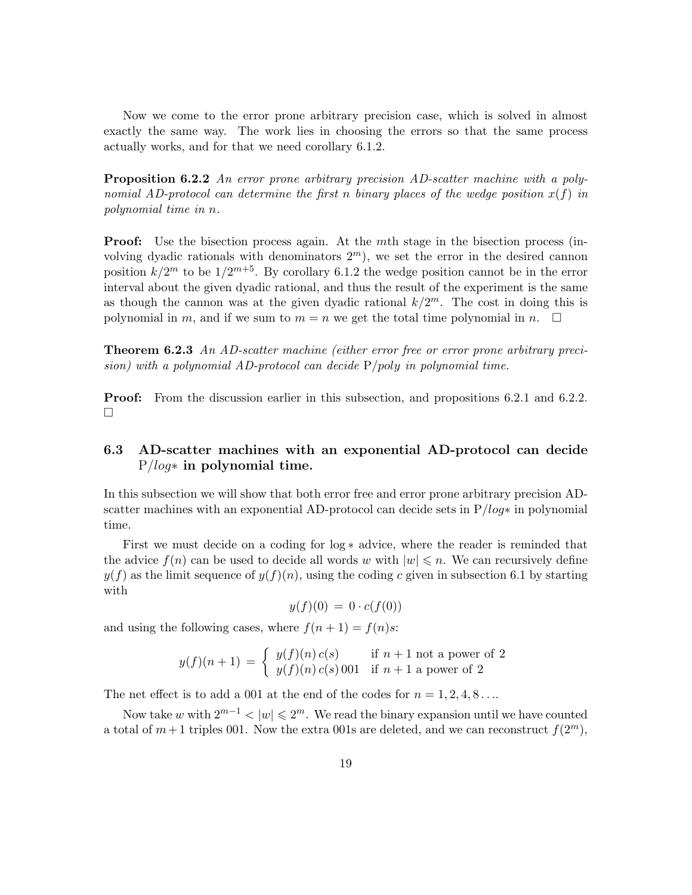Now we come to the error prone arbitrary precision case, which is solved in almost exactly the same way. The work lies in choosing the errors so that the same process actually works, and for that we need corollary 6.1.2.

**Proposition 6.2.2** An error prone arbitrary precision AD-scatter machine with a polynomial AD-protocol can determine the first n binary places of the wedge position  $x(f)$  in polynomial time in n.

**Proof:** Use the bisection process again. At the mth stage in the bisection process (involving dyadic rationals with denominators  $2<sup>m</sup>$ , we set the error in the desired cannon position  $k/2^m$  to be  $1/2^{m+5}$ . By corollary 6.1.2 the wedge position cannot be in the error interval about the given dyadic rational, and thus the result of the experiment is the same as though the cannon was at the given dyadic rational  $k/2^m$ . The cost in doing this is polynomial in m, and if we sum to  $m = n$  we get the total time polynomial in n.  $\square$ 

**Theorem 6.2.3** An AD-scatter machine (either error free or error prone arbitrary precision) with a polynomial AD-protocol can decide  $P/poly$  in polynomial time.

**Proof:** From the discussion earlier in this subsection, and propositions 6.2.1 and 6.2.2.  $\Box$ 

## 6.3 AD-scatter machines with an exponential AD-protocol can decide P/log∗ in polynomial time.

In this subsection we will show that both error free and error prone arbitrary precision ADscatter machines with an exponential AD-protocol can decide sets in  $P/log*$  in polynomial time.

First we must decide on a coding for log ∗ advice, where the reader is reminded that the advice  $f(n)$  can be used to decide all words w with  $|w| \leq n$ . We can recursively define  $y(f)$  as the limit sequence of  $y(f)(n)$ , using the coding c given in subsection 6.1 by starting with

$$
y(f)(0) = 0 \cdot c(f(0))
$$

and using the following cases, where  $f(n+1) = f(n)s$ :

$$
y(f)(n+1) = \begin{cases} y(f)(n) c(s) & \text{if } n+1 \text{ not a power of 2} \\ y(f)(n) c(s) 001 & \text{if } n+1 \text{ a power of 2} \end{cases}
$$

The net effect is to add a 001 at the end of the codes for  $n = 1, 2, 4, 8 \ldots$ 

Now take w with  $2^{m-1} < |w| \leq 2^m$ . We read the binary expansion until we have counted a total of  $m+1$  triples 001. Now the extra 001s are deleted, and we can reconstruct  $f(2^m)$ ,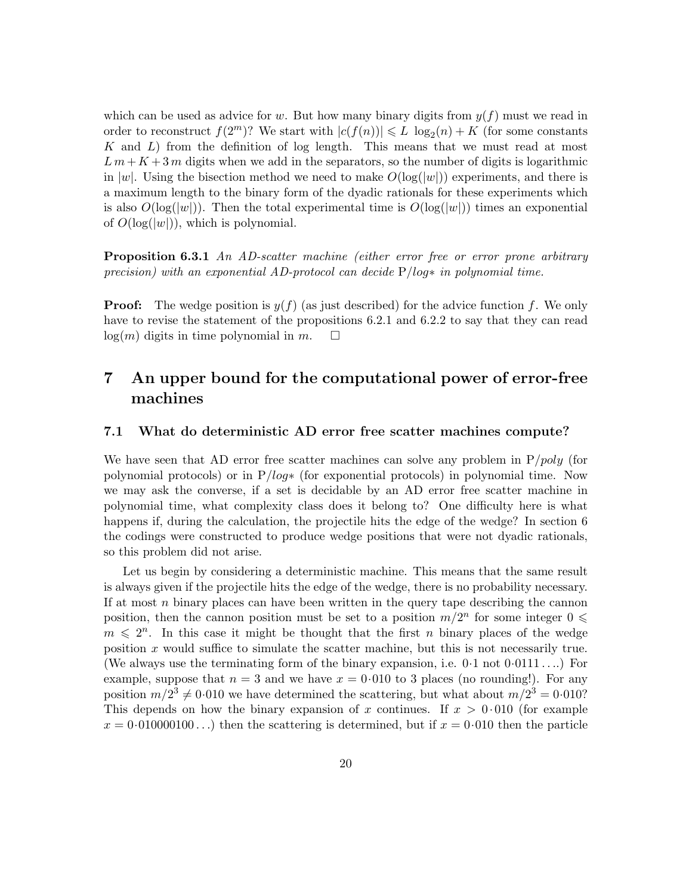which can be used as advice for w. But how many binary digits from  $y(f)$  must we read in order to reconstruct  $f(2^m)$ ? We start with  $|c(f(n))| \leq L \log_2(n) + K$  (for some constants K and  $L$ ) from the definition of log length. This means that we must read at most  $L m + K + 3 m$  digits when we add in the separators, so the number of digits is logarithmic in |w|. Using the bisection method we need to make  $O(log(|w|))$  experiments, and there is a maximum length to the binary form of the dyadic rationals for these experiments which is also  $O(\log(|w|))$ . Then the total experimental time is  $O(\log(|w|))$  times an exponential of  $O(\log(|w|))$ , which is polynomial.

**Proposition 6.3.1** An AD-scatter machine (either error free or error prone arbitrary precision) with an exponential AD-protocol can decide P/log∗ in polynomial time.

**Proof:** The wedge position is  $y(f)$  (as just described) for the advice function f. We only have to revise the statement of the propositions 6.2.1 and 6.2.2 to say that they can read  $log(m)$  digits in time polynomial in m.  $\square$ 

# 7 An upper bound for the computational power of error-free machines

### 7.1 What do deterministic AD error free scatter machines compute?

We have seen that AD error free scatter machines can solve any problem in  $P/poly$  (for polynomial protocols) or in P/log∗ (for exponential protocols) in polynomial time. Now we may ask the converse, if a set is decidable by an AD error free scatter machine in polynomial time, what complexity class does it belong to? One difficulty here is what happens if, during the calculation, the projectile hits the edge of the wedge? In section 6 the codings were constructed to produce wedge positions that were not dyadic rationals, so this problem did not arise.

Let us begin by considering a deterministic machine. This means that the same result is always given if the projectile hits the edge of the wedge, there is no probability necessary. If at most  $n$  binary places can have been written in the query tape describing the cannon position, then the cannon position must be set to a position  $m/2^n$  for some integer  $0 \leq$  $m \leq 2^n$ . In this case it might be thought that the first n binary places of the wedge position  $x$  would suffice to simulate the scatter machine, but this is not necessarily true. (We always use the terminating form of the binary expansion, i.e. 0·1 not 0·0111 . . ..) For example, suppose that  $n = 3$  and we have  $x = 0.010$  to 3 places (no rounding!). For any position  $m/2^3 \neq 0.010$  we have determined the scattering, but what about  $m/2^3 = 0.010$ ? This depends on how the binary expansion of x continues. If  $x > 0.010$  (for example  $x = 0.010000100...$  then the scattering is determined, but if  $x = 0.010$  then the particle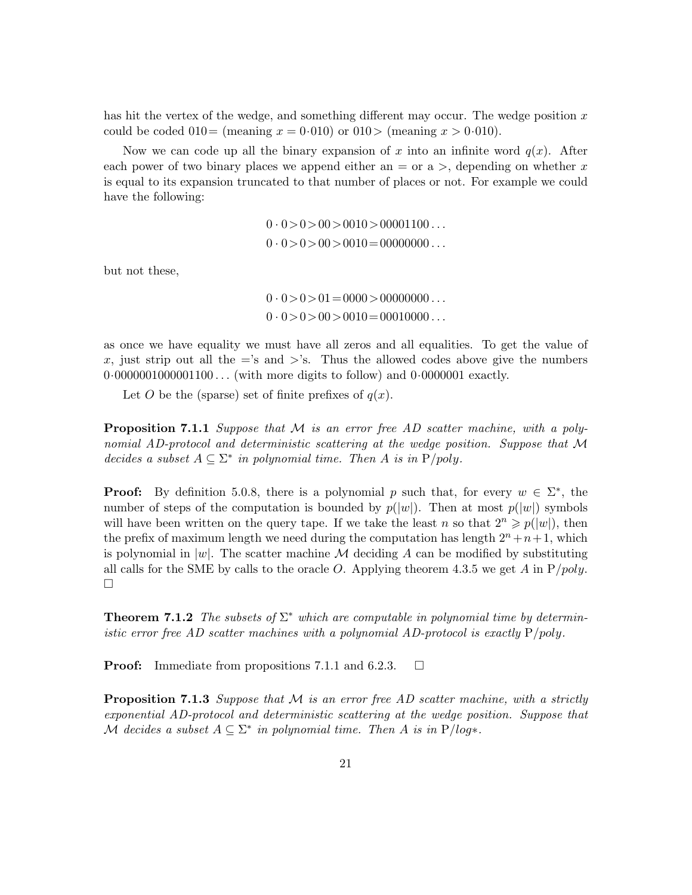has hit the vertex of the wedge, and something different may occur. The wedge position  $x$ could be coded  $010=$  (meaning  $x = 0.010$ ) or  $010>$  (meaning  $x > 0.010$ ).

Now we can code up all the binary expansion of x into an infinite word  $q(x)$ . After each power of two binary places we append either an  $=$  or a  $>$ , depending on whether x is equal to its expansion truncated to that number of places or not. For example we could have the following:

$$
0 \cdot 0 > 0 > 00 > 0010 > 00001100...
$$
  

$$
0 \cdot 0 > 0 > 00 > 0010 = 00000000...
$$

but not these,

$$
0 \cdot 0 > 0 > 01 = 0000 > 00000000...
$$
  

$$
0 \cdot 0 > 0 > 00 > 0010 = 00010000...
$$

as once we have equality we must have all zeros and all equalities. To get the value of x, just strip out all the  $=$ 's and  $>$ 's. Thus the allowed codes above give the numbers 0·0000001000001100 . . . (with more digits to follow) and 0·0000001 exactly.

Let O be the (sparse) set of finite prefixes of  $q(x)$ .

**Proposition 7.1.1** Suppose that M is an error free AD scatter machine, with a polynomial AD-protocol and deterministic scattering at the wedge position. Suppose that M decides a subset  $A \subseteq \Sigma^*$  in polynomial time. Then A is in P/poly.

**Proof:** By definition 5.0.8, there is a polynomial p such that, for every  $w \in \Sigma^*$ , the number of steps of the computation is bounded by  $p(|w|)$ . Then at most  $p(|w|)$  symbols will have been written on the query tape. If we take the least n so that  $2^n \geq p(|w|)$ , then the prefix of maximum length we need during the computation has length  $2^n + n + 1$ , which is polynomial in  $|w|$ . The scatter machine M deciding A can be modified by substituting all calls for the SME by calls to the oracle O. Applying theorem 4.3.5 we get A in  $P/poly$ .  $\Box$ 

**Theorem 7.1.2** The subsets of  $\Sigma^*$  which are computable in polynomial time by deterministic error free AD scatter machines with a polynomial AD-protocol is exactly  $P/poly$ .

**Proof:** Immediate from propositions 7.1.1 and 6.2.3.  $\Box$ 

**Proposition 7.1.3** Suppose that  $M$  is an error free AD scatter machine, with a strictly exponential AD-protocol and deterministic scattering at the wedge position. Suppose that M decides a subset  $A \subseteq \Sigma^*$  in polynomial time. Then A is in P/log\*.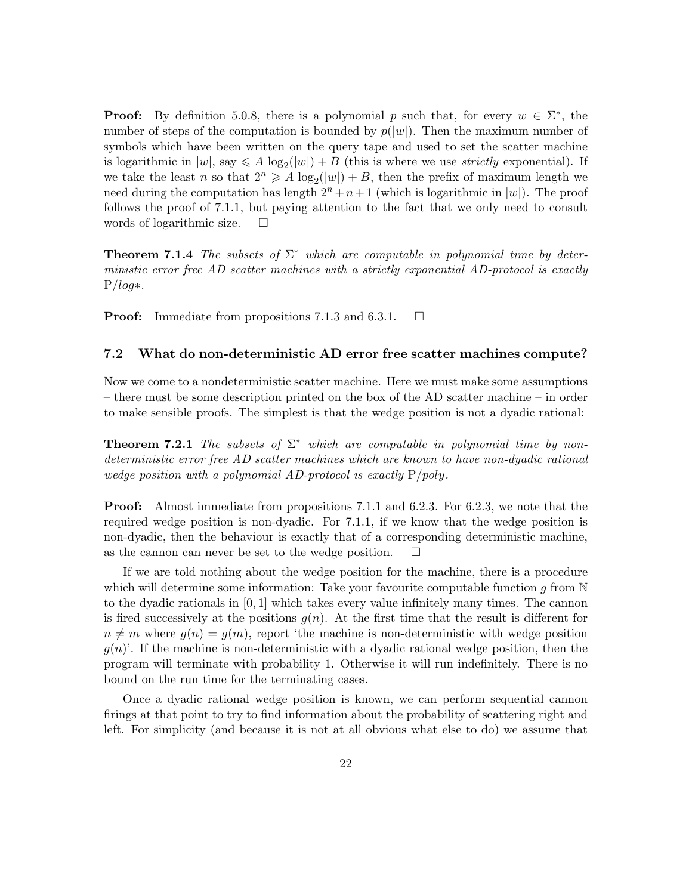**Proof:** By definition 5.0.8, there is a polynomial p such that, for every  $w \in \Sigma^*$ , the number of steps of the computation is bounded by  $p(|w|)$ . Then the maximum number of symbols which have been written on the query tape and used to set the scatter machine is logarithmic in  $|w|$ , say  $\leq A \log_2(|w|) + B$  (this is where we use *strictly* exponential). If we take the least n so that  $2^n \geq A \log_2(|w|) + B$ , then the prefix of maximum length we need during the computation has length  $2^n + n+1$  (which is logarithmic in  $|w|$ ). The proof follows the proof of 7.1.1, but paying attention to the fact that we only need to consult words of logarithmic size.  $\Box$ 

**Theorem 7.1.4** The subsets of  $\Sigma^*$  which are computable in polynomial time by deterministic error free AD scatter machines with a strictly exponential AD-protocol is exactly P/log∗.

**Proof:** Immediate from propositions 7.1.3 and 6.3.1.  $\Box$ 

## 7.2 What do non-deterministic AD error free scatter machines compute?

Now we come to a nondeterministic scatter machine. Here we must make some assumptions – there must be some description printed on the box of the AD scatter machine – in order to make sensible proofs. The simplest is that the wedge position is not a dyadic rational:

**Theorem 7.2.1** The subsets of  $\Sigma^*$  which are computable in polynomial time by nondeterministic error free AD scatter machines which are known to have non-dyadic rational wedge position with a polynomial AD-protocol is exactly  $P/poly$ .

**Proof:** Almost immediate from propositions 7.1.1 and 6.2.3. For 6.2.3, we note that the required wedge position is non-dyadic. For 7.1.1, if we know that the wedge position is non-dyadic, then the behaviour is exactly that of a corresponding deterministic machine, as the cannon can never be set to the wedge position.

If we are told nothing about the wedge position for the machine, there is a procedure which will determine some information: Take your favourite computable function  $g$  from  $N$ to the dyadic rationals in [0, 1] which takes every value infinitely many times. The cannon is fired successively at the positions  $g(n)$ . At the first time that the result is different for  $n \neq m$  where  $g(n) = g(m)$ , report 'the machine is non-deterministic with wedge position  $g(n)$ . If the machine is non-deterministic with a dyadic rational wedge position, then the program will terminate with probability 1. Otherwise it will run indefinitely. There is no bound on the run time for the terminating cases.

Once a dyadic rational wedge position is known, we can perform sequential cannon firings at that point to try to find information about the probability of scattering right and left. For simplicity (and because it is not at all obvious what else to do) we assume that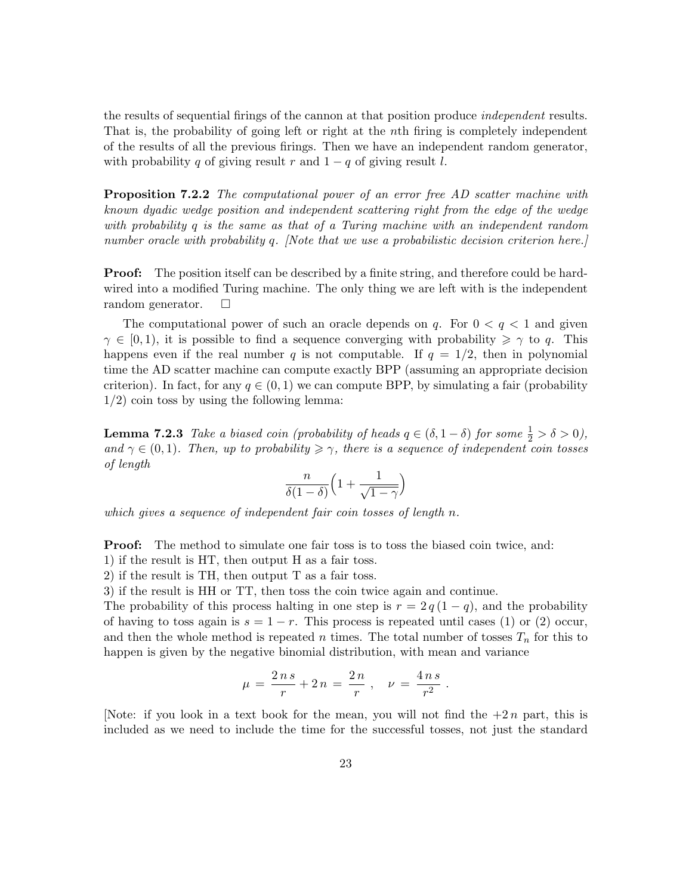the results of sequential firings of the cannon at that position produce independent results. That is, the probability of going left or right at the nth firing is completely independent of the results of all the previous firings. Then we have an independent random generator, with probability q of giving result r and  $1 - q$  of giving result l.

**Proposition 7.2.2** The computational power of an error free AD scatter machine with known dyadic wedge position and independent scattering right from the edge of the wedge with probability q is the same as that of a Turing machine with an independent random number oracle with probability q. [Note that we use a probabilistic decision criterion here.]

**Proof:** The position itself can be described by a finite string, and therefore could be hardwired into a modified Turing machine. The only thing we are left with is the independent random generator.  $\square$ 

The computational power of such an oracle depends on q. For  $0 < q < 1$  and given  $\gamma \in [0, 1)$ , it is possible to find a sequence converging with probability  $\geq \gamma$  to q. This happens even if the real number q is not computable. If  $q = 1/2$ , then in polynomial time the AD scatter machine can compute exactly BPP (assuming an appropriate decision criterion). In fact, for any  $q \in (0, 1)$  we can compute BPP, by simulating a fair (probability  $1/2$ ) coin toss by using the following lemma:

**Lemma 7.2.3** Take a biased coin (probability of heads  $q \in (\delta, 1 - \delta)$  for some  $\frac{1}{2} > \delta > 0$ ), and  $\gamma \in (0,1)$ . Then, up to probability  $\geq \gamma$ , there is a sequence of independent coin tosses of length

$$
\frac{n}{\delta(1-\delta)}\Big(1+\frac{1}{\sqrt{1-\gamma}}\Big)
$$

which gives a sequence of independent fair coin tosses of length n.

**Proof:** The method to simulate one fair toss is to toss the biased coin twice, and:

1) if the result is HT, then output H as a fair toss.

2) if the result is TH, then output T as a fair toss.

3) if the result is HH or TT, then toss the coin twice again and continue.

The probability of this process halting in one step is  $r = 2q(1-q)$ , and the probability of having to toss again is  $s = 1 - r$ . This process is repeated until cases (1) or (2) occur, and then the whole method is repeated n times. The total number of tosses  $T_n$  for this to happen is given by the negative binomial distribution, with mean and variance

$$
\mu\,=\,\frac{2\,n\,s}{r}+2\,n\,=\,\frac{2\,n}{r}\;,\quad \nu\,=\,\frac{4\,n\,s}{r^2}\;.
$$

[Note: if you look in a text book for the mean, you will not find the  $+2n$  part, this is included as we need to include the time for the successful tosses, not just the standard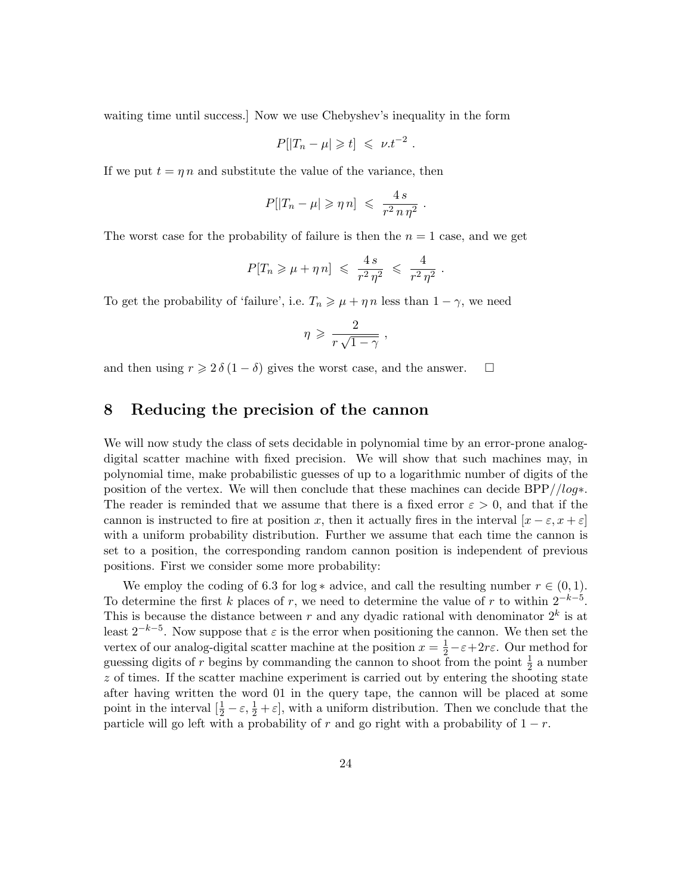waiting time until success.] Now we use Chebyshev's inequality in the form

$$
P[|T_n - \mu| \geq t] \leq \nu.t^{-2}.
$$

If we put  $t = \eta n$  and substitute the value of the variance, then

$$
P[|T_n - \mu| \geqslant \eta n] \leqslant \frac{4s}{r^2 n \eta^2} .
$$

The worst case for the probability of failure is then the  $n = 1$  case, and we get

$$
P[T_n \geq \mu + \eta n] \leqslant \frac{4s}{r^2 \eta^2} \leqslant \frac{4}{r^2 \eta^2} .
$$

To get the probability of 'failure', i.e.  $T_n \geq \mu + \eta n$  less than  $1 - \gamma$ , we need

$$
\eta \, \geqslant \, \frac{2}{r\,\sqrt{1-\gamma}} \; ,
$$

and then using  $r \geq 2\delta (1 - \delta)$  gives the worst case, and the answer.  $\Box$ 

# 8 Reducing the precision of the cannon

We will now study the class of sets decidable in polynomial time by an error-prone analogdigital scatter machine with fixed precision. We will show that such machines may, in polynomial time, make probabilistic guesses of up to a logarithmic number of digits of the position of the vertex. We will then conclude that these machines can decide BPP//log∗. The reader is reminded that we assume that there is a fixed error  $\varepsilon > 0$ , and that if the cannon is instructed to fire at position x, then it actually fires in the interval  $[x - \varepsilon, x + \varepsilon]$ with a uniform probability distribution. Further we assume that each time the cannon is set to a position, the corresponding random cannon position is independent of previous positions. First we consider some more probability:

We employ the coding of 6.3 for log  $*$  advice, and call the resulting number  $r \in (0,1)$ . To determine the first k places of r, we need to determine the value of r to within  $2^{-k-5}$ . This is because the distance between r and any dyadic rational with denominator  $2^k$  is at least  $2^{-k-5}$ . Now suppose that  $\varepsilon$  is the error when positioning the cannon. We then set the vertex of our analog-digital scatter machine at the position  $x = \frac{1}{2} - \varepsilon + 2r\varepsilon$ . Our method for guessing digits of r begins by commanding the cannon to shoot from the point  $\frac{1}{2}$  a number z of times. If the scatter machine experiment is carried out by entering the shooting state after having written the word 01 in the query tape, the cannon will be placed at some point in the interval  $[\frac{1}{2} - \varepsilon, \frac{1}{2} + \varepsilon]$ , with a uniform distribution. Then we conclude that the particle will go left with a probability of r and go right with a probability of  $1 - r$ .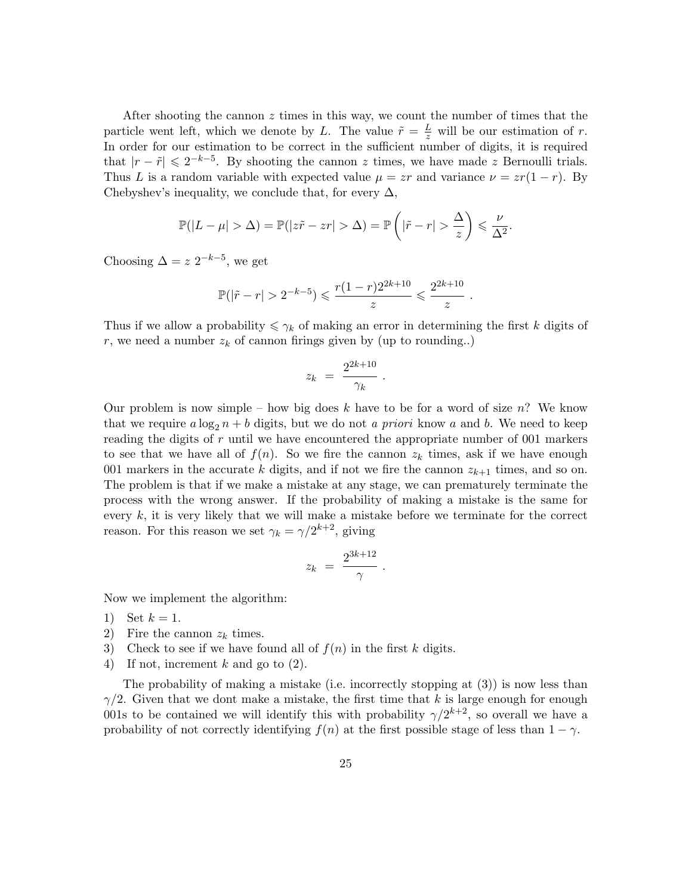After shooting the cannon  $z$  times in this way, we count the number of times that the particle went left, which we denote by L. The value  $\tilde{r} = \frac{L}{z}$  will be our estimation of r. In order for our estimation to be correct in the sufficient number of digits, it is required that  $|r - \tilde{r}| \le 2^{-k-5}$ . By shooting the cannon z times, we have made z Bernoulli trials. Thus L is a random variable with expected value  $\mu = zr$  and variance  $\nu = zr(1 - r)$ . By Chebyshev's inequality, we conclude that, for every  $\Delta$ ,

$$
\mathbb{P}(|L - \mu| > \Delta) = \mathbb{P}(|z\tilde{r} - zr| > \Delta) = \mathbb{P}\left(|\tilde{r} - r| > \frac{\Delta}{z}\right) \leq \frac{\nu}{\Delta^2}.
$$

Choosing  $\Delta = z \; 2^{-k-5}$ , we get

$$
\mathbb{P}(|\tilde{r} - r| > 2^{-k-5}) \leq \frac{r(1-r)2^{2k+10}}{z} \leq \frac{2^{2k+10}}{z}
$$

.

Thus if we allow a probability  $\leq \gamma_k$  of making an error in determining the first k digits of r, we need a number  $z_k$  of cannon firings given by (up to rounding..)

$$
z_k = \frac{2^{2k+10}}{\gamma_k}
$$

.

Our problem is now simple – how big does k have to be for a word of size n? We know that we require  $a \log_2 n + b$  digits, but we do not a *priori* know a and b. We need to keep reading the digits of  $r$  until we have encountered the appropriate number of 001 markers to see that we have all of  $f(n)$ . So we fire the cannon  $z_k$  times, ask if we have enough 001 markers in the accurate k digits, and if not we fire the cannon  $z_{k+1}$  times, and so on. The problem is that if we make a mistake at any stage, we can prematurely terminate the process with the wrong answer. If the probability of making a mistake is the same for every  $k$ , it is very likely that we will make a mistake before we terminate for the correct reason. For this reason we set  $\gamma_k = \gamma/2^{k+2}$ , giving

$$
z_k = \frac{2^{3k+12}}{\gamma} \ .
$$

Now we implement the algorithm:

- 1) Set  $k = 1$ .
- 2) Fire the cannon  $z_k$  times.
- 3) Check to see if we have found all of  $f(n)$  in the first k digits.
- 4) If not, increment k and go to  $(2)$ .

The probability of making a mistake (i.e. incorrectly stopping at (3)) is now less than  $\gamma/2$ . Given that we dont make a mistake, the first time that k is large enough for enough 001s to be contained we will identify this with probability  $\gamma/2^{k+2}$ , so overall we have a probability of not correctly identifying  $f(n)$  at the first possible stage of less than  $1 - \gamma$ .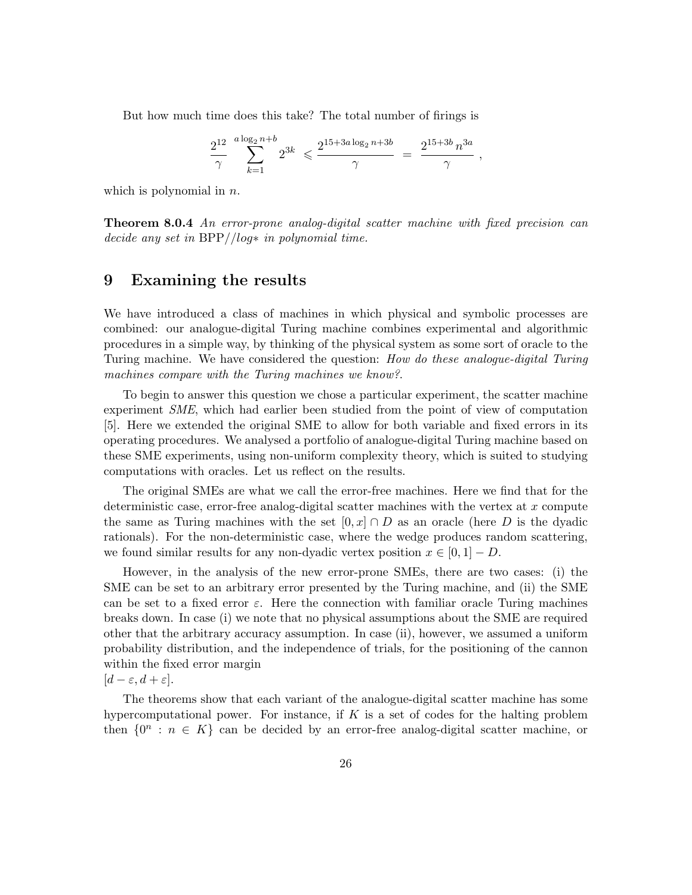But how much time does this take? The total number of firings is

$$
\frac{2^{12}}{\gamma}\,\sum_{k=1}^{a\log_2 n + b} 2^{3k} \,\leqslant \frac{2^{15+3a\log_2 n + 3b}}{\gamma} \;=\; \frac{2^{15+3b}\,n^{3a}}{\gamma}\;,
$$

which is polynomial in  $n$ .

Theorem 8.0.4 An error-prone analog-digital scatter machine with fixed precision can decide any set in BPP//log∗ in polynomial time.

# 9 Examining the results

We have introduced a class of machines in which physical and symbolic processes are combined: our analogue-digital Turing machine combines experimental and algorithmic procedures in a simple way, by thinking of the physical system as some sort of oracle to the Turing machine. We have considered the question: *How do these analogue-digital Turing* machines compare with the Turing machines we know?.

To begin to answer this question we chose a particular experiment, the scatter machine experiment SME, which had earlier been studied from the point of view of computation [5]. Here we extended the original SME to allow for both variable and fixed errors in its operating procedures. We analysed a portfolio of analogue-digital Turing machine based on these SME experiments, using non-uniform complexity theory, which is suited to studying computations with oracles. Let us reflect on the results.

The original SMEs are what we call the error-free machines. Here we find that for the deterministic case, error-free analog-digital scatter machines with the vertex at  $x$  compute the same as Turing machines with the set  $[0, x] \cap D$  as an oracle (here D is the dyadic rationals). For the non-deterministic case, where the wedge produces random scattering, we found similar results for any non-dyadic vertex position  $x \in [0, 1] - D$ .

However, in the analysis of the new error-prone SMEs, there are two cases: (i) the SME can be set to an arbitrary error presented by the Turing machine, and (ii) the SME can be set to a fixed error  $\varepsilon$ . Here the connection with familiar oracle Turing machines breaks down. In case (i) we note that no physical assumptions about the SME are required other that the arbitrary accuracy assumption. In case (ii), however, we assumed a uniform probability distribution, and the independence of trials, for the positioning of the cannon within the fixed error margin

 $[d - \varepsilon, d + \varepsilon].$ 

The theorems show that each variant of the analogue-digital scatter machine has some hypercomputational power. For instance, if  $K$  is a set of codes for the halting problem then  $\{0^n : n \in K\}$  can be decided by an error-free analog-digital scatter machine, or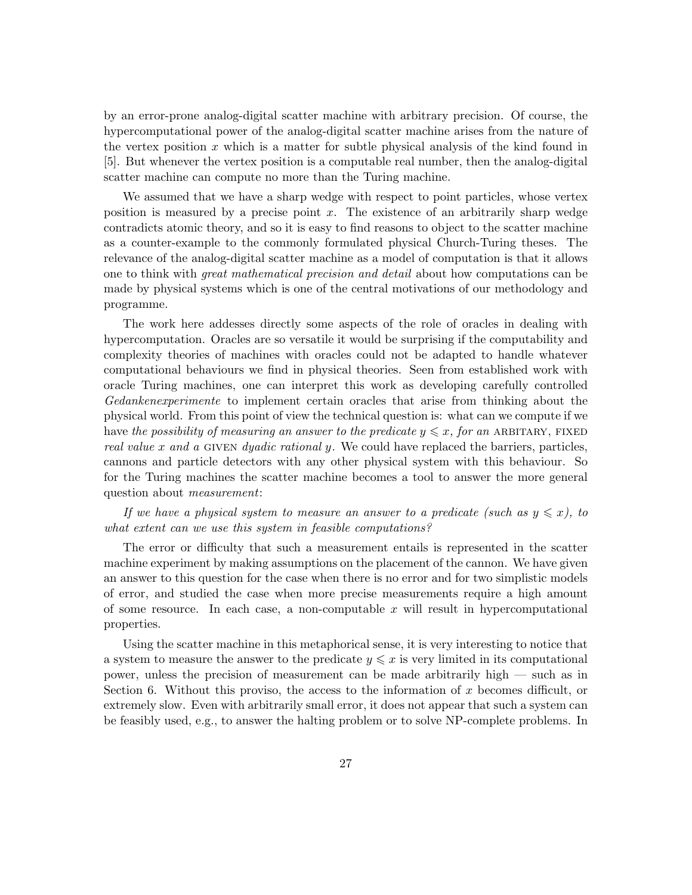by an error-prone analog-digital scatter machine with arbitrary precision. Of course, the hypercomputational power of the analog-digital scatter machine arises from the nature of the vertex position  $x$  which is a matter for subtle physical analysis of the kind found in [5]. But whenever the vertex position is a computable real number, then the analog-digital scatter machine can compute no more than the Turing machine.

We assumed that we have a sharp wedge with respect to point particles, whose vertex position is measured by a precise point  $x$ . The existence of an arbitrarily sharp wedge contradicts atomic theory, and so it is easy to find reasons to object to the scatter machine as a counter-example to the commonly formulated physical Church-Turing theses. The relevance of the analog-digital scatter machine as a model of computation is that it allows one to think with great mathematical precision and detail about how computations can be made by physical systems which is one of the central motivations of our methodology and programme.

The work here addesses directly some aspects of the role of oracles in dealing with hypercomputation. Oracles are so versatile it would be surprising if the computability and complexity theories of machines with oracles could not be adapted to handle whatever computational behaviours we find in physical theories. Seen from established work with oracle Turing machines, one can interpret this work as developing carefully controlled Gedankenexperimente to implement certain oracles that arise from thinking about the physical world. From this point of view the technical question is: what can we compute if we have the possibility of measuring an answer to the predicate  $y \leqslant x$ , for an ARBITARY, FIXED real value x and a GIVEN dyadic rational y. We could have replaced the barriers, particles, cannons and particle detectors with any other physical system with this behaviour. So for the Turing machines the scatter machine becomes a tool to answer the more general question about measurement:

If we have a physical system to measure an answer to a predicate (such as  $y \leq x$ ), to what extent can we use this system in feasible computations?

The error or difficulty that such a measurement entails is represented in the scatter machine experiment by making assumptions on the placement of the cannon. We have given an answer to this question for the case when there is no error and for two simplistic models of error, and studied the case when more precise measurements require a high amount of some resource. In each case, a non-computable  $x$  will result in hypercomputational properties.

Using the scatter machine in this metaphorical sense, it is very interesting to notice that a system to measure the answer to the predicate  $y \leq x$  is very limited in its computational power, unless the precision of measurement can be made arbitrarily high — such as in Section 6. Without this proviso, the access to the information of  $x$  becomes difficult, or extremely slow. Even with arbitrarily small error, it does not appear that such a system can be feasibly used, e.g., to answer the halting problem or to solve NP-complete problems. In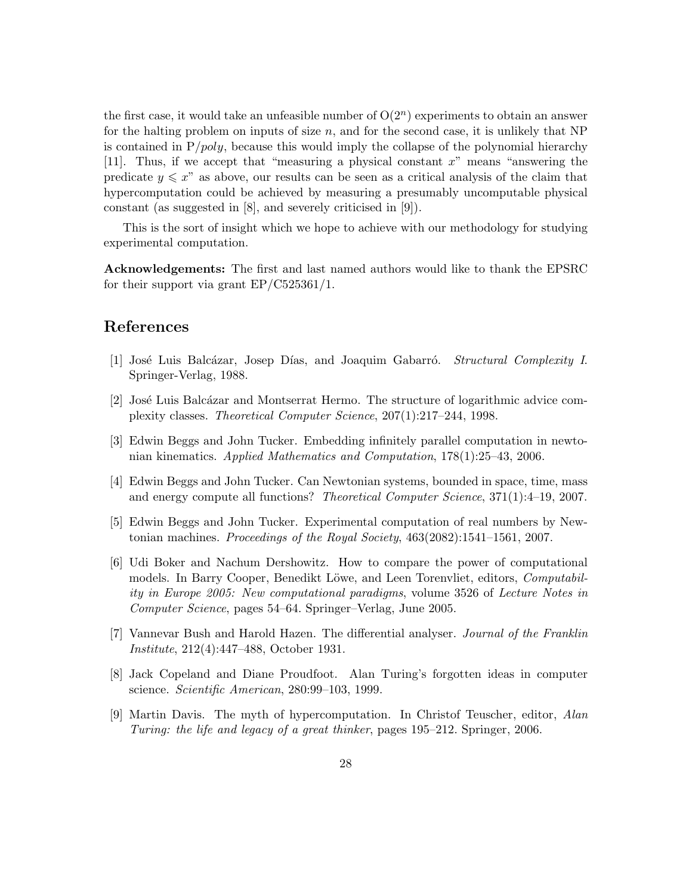the first case, it would take an unfeasible number of  $O(2<sup>n</sup>)$  experiments to obtain an answer for the halting problem on inputs of size  $n$ , and for the second case, it is unlikely that NP is contained in  $P/poly$ , because this would imply the collapse of the polynomial hierarchy [11]. Thus, if we accept that "measuring a physical constant  $x$ " means "answering the predicate  $y \leq x$ " as above, our results can be seen as a critical analysis of the claim that hypercomputation could be achieved by measuring a presumably uncomputable physical constant (as suggested in [8], and severely criticised in [9]).

This is the sort of insight which we hope to achieve with our methodology for studying experimental computation.

Acknowledgements: The first and last named authors would like to thank the EPSRC for their support via grant EP/C525361/1.

# References

- [1] José Luis Balcázar, Josep Días, and Joaquim Gabarró. Structural Complexity I. Springer-Verlag, 1988.
- [2] José Luis Balcázar and Montserrat Hermo. The structure of logarithmic advice complexity classes. Theoretical Computer Science, 207(1):217–244, 1998.
- [3] Edwin Beggs and John Tucker. Embedding infinitely parallel computation in newtonian kinematics. Applied Mathematics and Computation, 178(1):25–43, 2006.
- [4] Edwin Beggs and John Tucker. Can Newtonian systems, bounded in space, time, mass and energy compute all functions? Theoretical Computer Science, 371(1):4–19, 2007.
- [5] Edwin Beggs and John Tucker. Experimental computation of real numbers by Newtonian machines. Proceedings of the Royal Society, 463(2082):1541–1561, 2007.
- [6] Udi Boker and Nachum Dershowitz. How to compare the power of computational models. In Barry Cooper, Benedikt Löwe, and Leen Torenvliet, editors, Computability in Europe 2005: New computational paradigms, volume 3526 of Lecture Notes in Computer Science, pages 54–64. Springer–Verlag, June 2005.
- [7] Vannevar Bush and Harold Hazen. The differential analyser. Journal of the Franklin Institute, 212(4):447–488, October 1931.
- [8] Jack Copeland and Diane Proudfoot. Alan Turing's forgotten ideas in computer science. Scientific American, 280:99–103, 1999.
- [9] Martin Davis. The myth of hypercomputation. In Christof Teuscher, editor, Alan Turing: the life and legacy of a great thinker, pages 195–212. Springer, 2006.